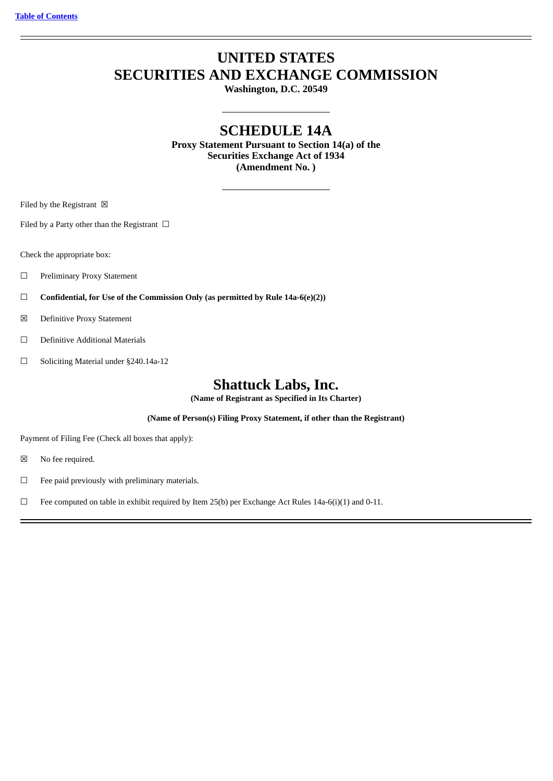# **UNITED STATES SECURITIES AND EXCHANGE COMMISSION**

**Washington, D.C. 20549**

# **SCHEDULE 14A**

**Proxy Statement Pursuant to Section 14(a) of the Securities Exchange Act of 1934 (Amendment No. )**

Filed by the Registrant  $\boxtimes$ 

Filed by a Party other than the Registrant  $\Box$ 

Check the appropriate box:

- ☐ Preliminary Proxy Statement
- ☐ **Confidential, for Use of the Commission Only (as permitted by Rule 14a-6(e)(2))**
- ☒ Definitive Proxy Statement
- ☐ Definitive Additional Materials
- ☐ Soliciting Material under §240.14a-12

# **Shattuck Labs, Inc.**

**(Name of Registrant as Specified in Its Charter)**

**(Name of Person(s) Filing Proxy Statement, if other than the Registrant)**

Payment of Filing Fee (Check all boxes that apply):

☒ No fee required.

☐ Fee paid previously with preliminary materials.

□ Fee computed on table in exhibit required by Item 25(b) per Exchange Act Rules 14a-6(i)(1) and 0-11.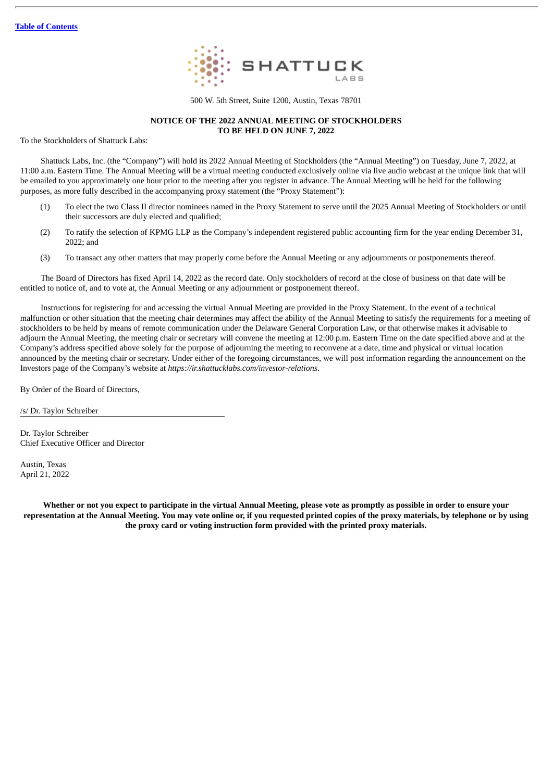

500 W. 5th Street, Suite 1200, Austin, Texas 78701

### **NOTICE OF THE 2022 ANNUAL MEETING OF STOCKHOLDERS TO BE HELD ON JUNE 7, 2022**

To the Stockholders of Shattuck Labs:

Shattuck Labs, Inc. (the "Company") will hold its 2022 Annual Meeting of Stockholders (the "Annual Meeting") on Tuesday, June 7, 2022, at 11:00 a.m. Eastern Time. The Annual Meeting will be a virtual meeting conducted exclusively online via live audio webcast at the unique link that will be emailed to you approximately one hour prior to the meeting after you register in advance. The Annual Meeting will be held for the following purposes, as more fully described in the accompanying proxy statement (the "Proxy Statement"):

- (1) To elect the two Class II director nominees named in the Proxy Statement to serve until the 2025 Annual Meeting of Stockholders or until their successors are duly elected and qualified;
- (2) To ratify the selection of KPMG LLP as the Company's independent registered public accounting firm for the year ending December 31,  $2022 \cdot$  and
- (3) To transact any other matters that may properly come before the Annual Meeting or any adjournments or postponements thereof.

The Board of Directors has fixed April 14, 2022 as the record date. Only stockholders of record at the close of business on that date will be entitled to notice of, and to vote at, the Annual Meeting or any adjournment or postponement thereof.

Instructions for registering for and accessing the virtual Annual Meeting are provided in the Proxy Statement. In the event of a technical malfunction or other situation that the meeting chair determines may affect the ability of the Annual Meeting to satisfy the requirements for a meeting of stockholders to be held by means of remote communication under the Delaware General Corporation Law, or that otherwise makes it advisable to adjourn the Annual Meeting, the meeting chair or secretary will convene the meeting at 12:00 p.m. Eastern Time on the date specified above and at the Company's address specified above solely for the purpose of adjourning the meeting to reconvene at a date, time and physical or virtual location announced by the meeting chair or secretary. Under either of the foregoing circumstances, we will post information regarding the announcement on the Investors page of the Company's website at *https://ir.shattucklabs.com/investor-relations*.

By Order of the Board of Directors,

/s/ Dr. Taylor Schreiber

Dr. Taylor Schreiber Chief Executive Officer and Director

Austin, Texas April 21, 2022

Whether or not you expect to participate in the virtual Annual Meeting, please vote as promptly as possible in order to ensure your representation at the Annual Meeting. You may vote online or, if you requested printed copies of the proxy materials, by telephone or by using **the proxy card or voting instruction form provided with the printed proxy materials.**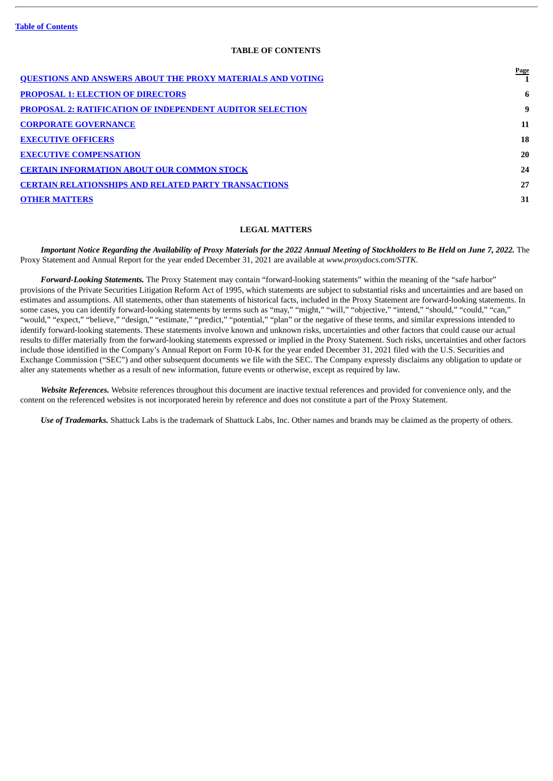# **TABLE OF CONTENTS**

<span id="page-2-0"></span>

| <u>QUESTIONS AND ANSWERS ABOUT THE PROXY MATERIALS AND VOTING</u> | <b>Page</b> |
|-------------------------------------------------------------------|-------------|
| <b>PROPOSAL 1: ELECTION OF DIRECTORS</b>                          | 6           |
| <b>PROPOSAL 2: RATIFICATION OF INDEPENDENT AUDITOR SELECTION</b>  | 9           |
| <b>CORPORATE GOVERNANCE</b>                                       | 11          |
| <b>EXECUTIVE OFFICERS</b>                                         | 18          |
| <b>EXECUTIVE COMPENSATION</b>                                     | 20          |
| <b>CERTAIN INFORMATION ABOUT OUR COMMON STOCK</b>                 | 24          |
| <b>CERTAIN RELATIONSHIPS AND RELATED PARTY TRANSACTIONS</b>       | 27          |
| <b>OTHER MATTERS</b>                                              | 31          |
|                                                                   |             |

# **LEGAL MATTERS**

Important Notice Regarding the Availability of Proxy Materials for the 2022 Annual Meeting of Stockholders to Be Held on June 7, 2022. The Proxy Statement and Annual Report for the year ended December 31, 2021 are available at *www.proxydocs.com/STTK*.

*Forward-Looking Statements.* The Proxy Statement may contain "forward-looking statements" within the meaning of the "safe harbor" provisions of the Private Securities Litigation Reform Act of 1995, which statements are subject to substantial risks and uncertainties and are based on estimates and assumptions. All statements, other than statements of historical facts, included in the Proxy Statement are forward-looking statements. In some cases, you can identify forward-looking statements by terms such as "may," "might," "will," "objective," "intend," "should," "could," "can," "would," "expect," "believe," "design," "estimate," "predict," "potential," "plan" or the negative of these terms, and similar expressions intended to identify forward-looking statements. These statements involve known and unknown risks, uncertainties and other factors that could cause our actual results to differ materially from the forward-looking statements expressed or implied in the Proxy Statement. Such risks, uncertainties and other factors include those identified in the Company's Annual Report on Form 10-K for the year ended December 31, 2021 filed with the U.S. Securities and Exchange Commission ("SEC") and other subsequent documents we file with the SEC. The Company expressly disclaims any obligation to update or alter any statements whether as a result of new information, future events or otherwise, except as required by law.

*Website References.* Website references throughout this document are inactive textual references and provided for convenience only, and the content on the referenced websites is not incorporated herein by reference and does not constitute a part of the Proxy Statement.

*Use of Trademarks.* Shattuck Labs is the trademark of Shattuck Labs, Inc. Other names and brands may be claimed as the property of others.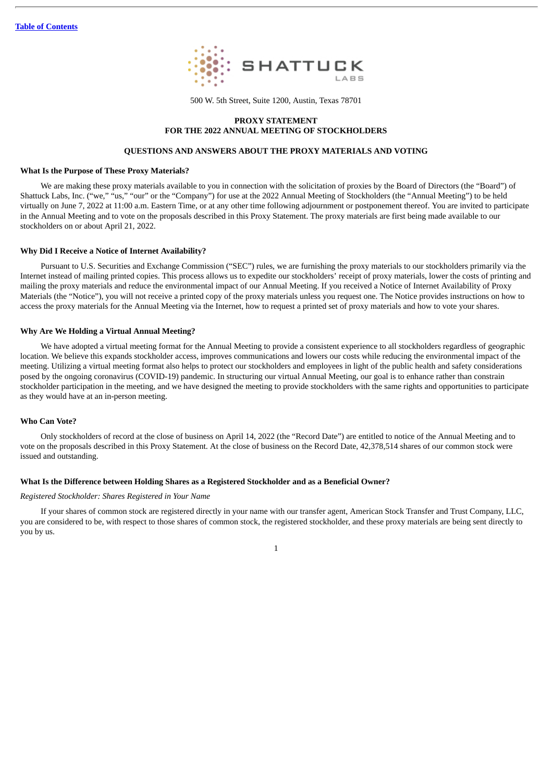

500 W. 5th Street, Suite 1200, Austin, Texas 78701

### **PROXY STATEMENT FOR THE 2022 ANNUAL MEETING OF STOCKHOLDERS**

### **QUESTIONS AND ANSWERS ABOUT THE PROXY MATERIALS AND VOTING**

### <span id="page-3-0"></span>**What Is the Purpose of These Proxy Materials?**

We are making these proxy materials available to you in connection with the solicitation of proxies by the Board of Directors (the "Board") of Shattuck Labs, Inc. ("we," "us," "our" or the "Company") for use at the 2022 Annual Meeting of Stockholders (the "Annual Meeting") to be held virtually on June 7, 2022 at 11:00 a.m. Eastern Time, or at any other time following adjournment or postponement thereof. You are invited to participate in the Annual Meeting and to vote on the proposals described in this Proxy Statement. The proxy materials are first being made available to our stockholders on or about April 21, 2022.

### **Why Did I Receive a Notice of Internet Availability?**

Pursuant to U.S. Securities and Exchange Commission ("SEC") rules, we are furnishing the proxy materials to our stockholders primarily via the Internet instead of mailing printed copies. This process allows us to expedite our stockholders' receipt of proxy materials, lower the costs of printing and mailing the proxy materials and reduce the environmental impact of our Annual Meeting. If you received a Notice of Internet Availability of Proxy Materials (the "Notice"), you will not receive a printed copy of the proxy materials unless you request one. The Notice provides instructions on how to access the proxy materials for the Annual Meeting via the Internet, how to request a printed set of proxy materials and how to vote your shares.

### **Why Are We Holding a Virtual Annual Meeting?**

We have adopted a virtual meeting format for the Annual Meeting to provide a consistent experience to all stockholders regardless of geographic location. We believe this expands stockholder access, improves communications and lowers our costs while reducing the environmental impact of the meeting. Utilizing a virtual meeting format also helps to protect our stockholders and employees in light of the public health and safety considerations posed by the ongoing coronavirus (COVID-19) pandemic. In structuring our virtual Annual Meeting, our goal is to enhance rather than constrain stockholder participation in the meeting, and we have designed the meeting to provide stockholders with the same rights and opportunities to participate as they would have at an in-person meeting.

### **Who Can Vote?**

Only stockholders of record at the close of business on April 14, 2022 (the "Record Date") are entitled to notice of the Annual Meeting and to vote on the proposals described in this Proxy Statement. At the close of business on the Record Date, 42,378,514 shares of our common stock were issued and outstanding.

### **What Is the Difference between Holding Shares as a Registered Stockholder and as a Beneficial Owner?**

### *Registered Stockholder: Shares Registered in Your Name*

If your shares of common stock are registered directly in your name with our transfer agent, American Stock Transfer and Trust Company, LLC, you are considered to be, with respect to those shares of common stock, the registered stockholder, and these proxy materials are being sent directly to you by us.

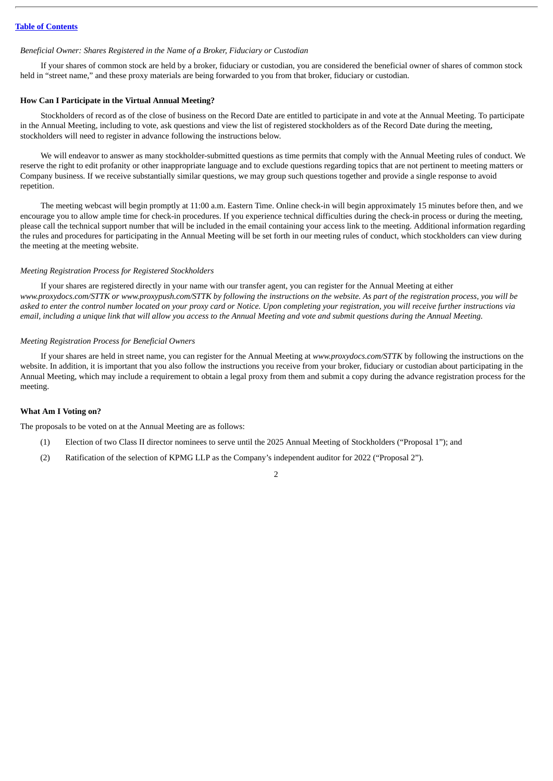### *Beneficial Owner: Shares Registered in the Name of a Broker, Fiduciary or Custodian*

If your shares of common stock are held by a broker, fiduciary or custodian, you are considered the beneficial owner of shares of common stock held in "street name," and these proxy materials are being forwarded to you from that broker, fiduciary or custodian.

### **How Can I Participate in the Virtual Annual Meeting?**

Stockholders of record as of the close of business on the Record Date are entitled to participate in and vote at the Annual Meeting. To participate in the Annual Meeting, including to vote, ask questions and view the list of registered stockholders as of the Record Date during the meeting, stockholders will need to register in advance following the instructions below.

We will endeavor to answer as many stockholder-submitted questions as time permits that comply with the Annual Meeting rules of conduct. We reserve the right to edit profanity or other inappropriate language and to exclude questions regarding topics that are not pertinent to meeting matters or Company business. If we receive substantially similar questions, we may group such questions together and provide a single response to avoid repetition.

The meeting webcast will begin promptly at 11:00 a.m. Eastern Time. Online check-in will begin approximately 15 minutes before then, and we encourage you to allow ample time for check-in procedures. If you experience technical difficulties during the check-in process or during the meeting, please call the technical support number that will be included in the email containing your access link to the meeting. Additional information regarding the rules and procedures for participating in the Annual Meeting will be set forth in our meeting rules of conduct, which stockholders can view during the meeting at the meeting website.

### *Meeting Registration Process for Registered Stockholders*

If your shares are registered directly in your name with our transfer agent, you can register for the Annual Meeting at either www.proxydocs.com/STTK or www.proxypush.com/STTK by following the instructions on the website. As part of the registration process, you will be asked to enter the control number located on your proxy card or Notice. Upon completing your registration, you will receive further instructions via email, including a unique link that will allow you access to the Annual Meeting and vote and submit questions during the Annual Meeting.

### *Meeting Registration Process for Beneficial Owners*

If your shares are held in street name, you can register for the Annual Meeting at *www.proxydocs.com/STTK* by following the instructions on the website. In addition, it is important that you also follow the instructions you receive from your broker, fiduciary or custodian about participating in the Annual Meeting, which may include a requirement to obtain a legal proxy from them and submit a copy during the advance registration process for the meeting.

### **What Am I Voting on?**

The proposals to be voted on at the Annual Meeting are as follows:

- (1) Election of two Class II director nominees to serve until the 2025 Annual Meeting of Stockholders ("Proposal 1"); and
- (2) Ratification of the selection of KPMG LLP as the Company's independent auditor for 2022 ("Proposal 2").

# $\overline{2}$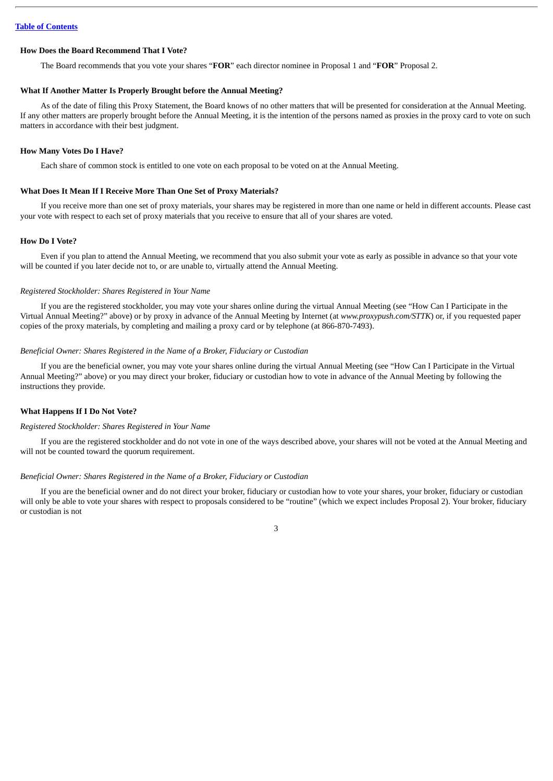### **How Does the Board Recommend That I Vote?**

The Board recommends that you vote your shares "**FOR**" each director nominee in Proposal 1 and "**FOR**" Proposal 2.

### **What If Another Matter Is Properly Brought before the Annual Meeting?**

As of the date of filing this Proxy Statement, the Board knows of no other matters that will be presented for consideration at the Annual Meeting. If any other matters are properly brought before the Annual Meeting, it is the intention of the persons named as proxies in the proxy card to vote on such matters in accordance with their best judgment.

### **How Many Votes Do I Have?**

Each share of common stock is entitled to one vote on each proposal to be voted on at the Annual Meeting.

### **What Does It Mean If I Receive More Than One Set of Proxy Materials?**

If you receive more than one set of proxy materials, your shares may be registered in more than one name or held in different accounts. Please cast your vote with respect to each set of proxy materials that you receive to ensure that all of your shares are voted.

### **How Do I Vote?**

Even if you plan to attend the Annual Meeting, we recommend that you also submit your vote as early as possible in advance so that your vote will be counted if you later decide not to, or are unable to, virtually attend the Annual Meeting.

### *Registered Stockholder: Shares Registered in Your Name*

If you are the registered stockholder, you may vote your shares online during the virtual Annual Meeting (see "How Can I Participate in the Virtual Annual Meeting?" above) or by proxy in advance of the Annual Meeting by Internet (at *www.proxypush.com/STTK*) or, if you requested paper copies of the proxy materials, by completing and mailing a proxy card or by telephone (at 866-870-7493).

### *Beneficial Owner: Shares Registered in the Name of a Broker, Fiduciary or Custodian*

If you are the beneficial owner, you may vote your shares online during the virtual Annual Meeting (see "How Can I Participate in the Virtual Annual Meeting?" above) or you may direct your broker, fiduciary or custodian how to vote in advance of the Annual Meeting by following the instructions they provide.

### **What Happens If I Do Not Vote?**

### *Registered Stockholder: Shares Registered in Your Name*

If you are the registered stockholder and do not vote in one of the ways described above, your shares will not be voted at the Annual Meeting and will not be counted toward the quorum requirement.

### *Beneficial Owner: Shares Registered in the Name of a Broker, Fiduciary or Custodian*

If you are the beneficial owner and do not direct your broker, fiduciary or custodian how to vote your shares, your broker, fiduciary or custodian will only be able to vote your shares with respect to proposals considered to be "routine" (which we expect includes Proposal 2). Your broker, fiduciary or custodian is not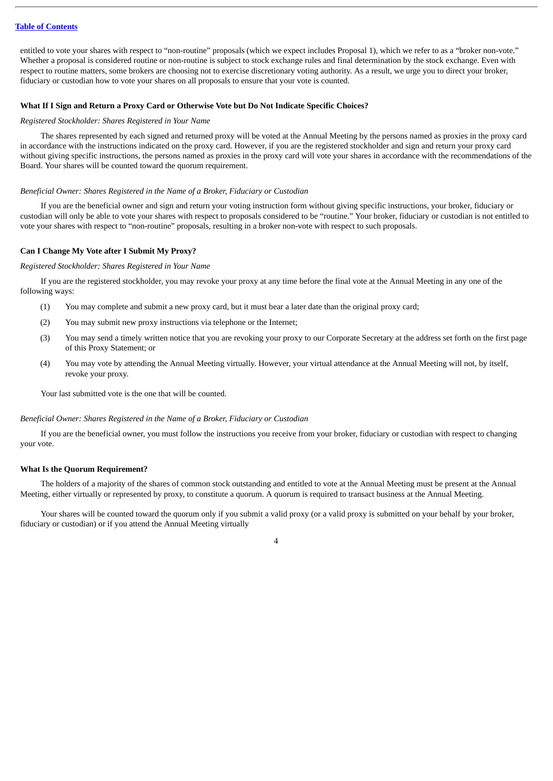entitled to vote your shares with respect to "non-routine" proposals (which we expect includes Proposal 1), which we refer to as a "broker non-vote." Whether a proposal is considered routine or non-routine is subject to stock exchange rules and final determination by the stock exchange. Even with respect to routine matters, some brokers are choosing not to exercise discretionary voting authority. As a result, we urge you to direct your broker, fiduciary or custodian how to vote your shares on all proposals to ensure that your vote is counted.

### **What If I Sign and Return a Proxy Card or Otherwise Vote but Do Not Indicate Specific Choices?**

### *Registered Stockholder: Shares Registered in Your Name*

The shares represented by each signed and returned proxy will be voted at the Annual Meeting by the persons named as proxies in the proxy card in accordance with the instructions indicated on the proxy card. However, if you are the registered stockholder and sign and return your proxy card without giving specific instructions, the persons named as proxies in the proxy card will vote your shares in accordance with the recommendations of the Board. Your shares will be counted toward the quorum requirement.

### *Beneficial Owner: Shares Registered in the Name of a Broker, Fiduciary or Custodian*

If you are the beneficial owner and sign and return your voting instruction form without giving specific instructions, your broker, fiduciary or custodian will only be able to vote your shares with respect to proposals considered to be "routine." Your broker, fiduciary or custodian is not entitled to vote your shares with respect to "non-routine" proposals, resulting in a broker non-vote with respect to such proposals.

### **Can I Change My Vote after I Submit My Proxy?**

### *Registered Stockholder: Shares Registered in Your Name*

If you are the registered stockholder, you may revoke your proxy at any time before the final vote at the Annual Meeting in any one of the following ways:

- (1) You may complete and submit a new proxy card, but it must bear a later date than the original proxy card;
- (2) You may submit new proxy instructions via telephone or the Internet;
- (3) You may send a timely written notice that you are revoking your proxy to our Corporate Secretary at the address set forth on the first page of this Proxy Statement; or
- (4) You may vote by attending the Annual Meeting virtually. However, your virtual attendance at the Annual Meeting will not, by itself, revoke your proxy.

Your last submitted vote is the one that will be counted.

### *Beneficial Owner: Shares Registered in the Name of a Broker, Fiduciary or Custodian*

If you are the beneficial owner, you must follow the instructions you receive from your broker, fiduciary or custodian with respect to changing your vote.

### **What Is the Quorum Requirement?**

The holders of a majority of the shares of common stock outstanding and entitled to vote at the Annual Meeting must be present at the Annual Meeting, either virtually or represented by proxy, to constitute a quorum. A quorum is required to transact business at the Annual Meeting.

Your shares will be counted toward the quorum only if you submit a valid proxy (or a valid proxy is submitted on your behalf by your broker, fiduciary or custodian) or if you attend the Annual Meeting virtually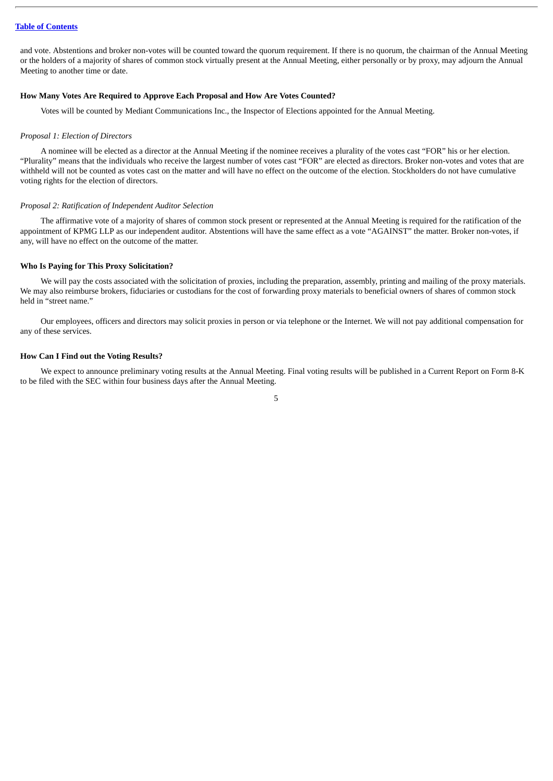and vote. Abstentions and broker non-votes will be counted toward the quorum requirement. If there is no quorum, the chairman of the Annual Meeting or the holders of a majority of shares of common stock virtually present at the Annual Meeting, either personally or by proxy, may adjourn the Annual Meeting to another time or date.

### **How Many Votes Are Required to Approve Each Proposal and How Are Votes Counted?**

Votes will be counted by Mediant Communications Inc., the Inspector of Elections appointed for the Annual Meeting.

### *Proposal 1: Election of Directors*

A nominee will be elected as a director at the Annual Meeting if the nominee receives a plurality of the votes cast "FOR" his or her election. "Plurality" means that the individuals who receive the largest number of votes cast "FOR" are elected as directors. Broker non-votes and votes that are withheld will not be counted as votes cast on the matter and will have no effect on the outcome of the election. Stockholders do not have cumulative voting rights for the election of directors.

### *Proposal 2: Ratification of Independent Auditor Selection*

The affirmative vote of a majority of shares of common stock present or represented at the Annual Meeting is required for the ratification of the appointment of KPMG LLP as our independent auditor. Abstentions will have the same effect as a vote "AGAINST" the matter. Broker non-votes, if any, will have no effect on the outcome of the matter.

### **Who Is Paying for This Proxy Solicitation?**

We will pay the costs associated with the solicitation of proxies, including the preparation, assembly, printing and mailing of the proxy materials. We may also reimburse brokers, fiduciaries or custodians for the cost of forwarding proxy materials to beneficial owners of shares of common stock held in "street name."

Our employees, officers and directors may solicit proxies in person or via telephone or the Internet. We will not pay additional compensation for any of these services.

### **How Can I Find out the Voting Results?**

We expect to announce preliminary voting results at the Annual Meeting. Final voting results will be published in a Current Report on Form 8-K to be filed with the SEC within four business days after the Annual Meeting.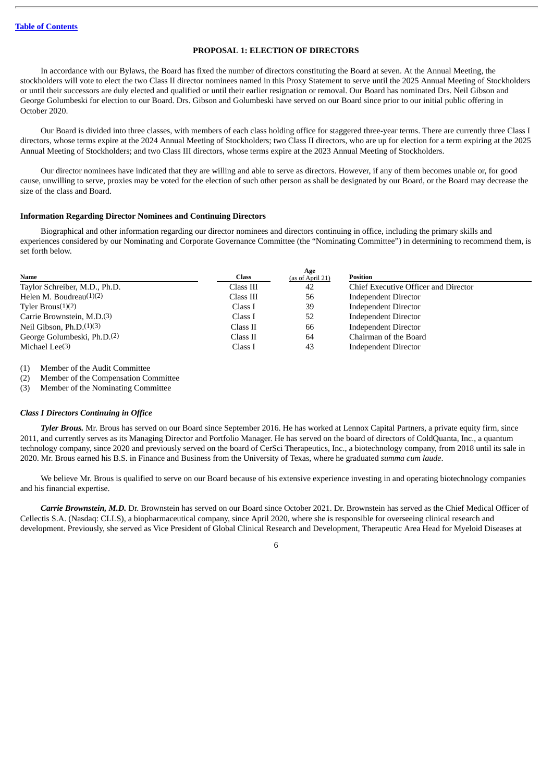# **PROPOSAL 1: ELECTION OF DIRECTORS**

<span id="page-8-0"></span>In accordance with our Bylaws, the Board has fixed the number of directors constituting the Board at seven. At the Annual Meeting, the stockholders will vote to elect the two Class II director nominees named in this Proxy Statement to serve until the 2025 Annual Meeting of Stockholders or until their successors are duly elected and qualified or until their earlier resignation or removal. Our Board has nominated Drs. Neil Gibson and George Golumbeski for election to our Board. Drs. Gibson and Golumbeski have served on our Board since prior to our initial public offering in October 2020.

Our Board is divided into three classes, with members of each class holding office for staggered three-year terms. There are currently three Class I directors, whose terms expire at the 2024 Annual Meeting of Stockholders; two Class II directors, who are up for election for a term expiring at the 2025 Annual Meeting of Stockholders; and two Class III directors, whose terms expire at the 2023 Annual Meeting of Stockholders.

Our director nominees have indicated that they are willing and able to serve as directors. However, if any of them becomes unable or, for good cause, unwilling to serve, proxies may be voted for the election of such other person as shall be designated by our Board, or the Board may decrease the size of the class and Board.

### **Information Regarding Director Nominees and Continuing Directors**

Biographical and other information regarding our director nominees and directors continuing in office, including the primary skills and experiences considered by our Nominating and Corporate Governance Committee (the "Nominating Committee") in determining to recommend them, is set forth below.

| Name                                    | Age<br><b>Class</b><br>(as of April 21) | Position                             |
|-----------------------------------------|-----------------------------------------|--------------------------------------|
| Taylor Schreiber, M.D., Ph.D.           | Class III<br>42                         | Chief Executive Officer and Director |
| Helen M. Boudreau $(1)(2)$              | Class III<br>56                         | <b>Independent Director</b>          |
| Tyler $Brous(1)(2)$                     | 39<br>Class I                           | <b>Independent Director</b>          |
| Carrie Brownstein, M.D. <sup>(3)</sup>  | Class I<br>52                           | <b>Independent Director</b>          |
| Neil Gibson, $Ph.D.(1)(3)$              | 66<br>Class II                          | <b>Independent Director</b>          |
| George Golumbeski, Ph.D. <sup>(2)</sup> | Class II<br>64                          | Chairman of the Board                |
| Michael Lee $(3)$                       | Class I<br>43                           | <b>Independent Director</b>          |

(1) Member of the Audit Committee

(2) Member of the Compensation Committee

(3) Member of the Nominating Committee

## *Class I Directors Continuing in Office*

*Tyler Brous.* Mr. Brous has served on our Board since September 2016. He has worked at Lennox Capital Partners, a private equity firm, since 2011, and currently serves as its Managing Director and Portfolio Manager. He has served on the board of directors of ColdQuanta, Inc., a quantum technology company, since 2020 and previously served on the board of CerSci Therapeutics, Inc., a biotechnology company, from 2018 until its sale in 2020. Mr. Brous earned his B.S. in Finance and Business from the University of Texas, where he graduated *summa cum laude*.

We believe Mr. Brous is qualified to serve on our Board because of his extensive experience investing in and operating biotechnology companies and his financial expertise.

*Carrie Brownstein, M.D.* Dr. Brownstein has served on our Board since October 2021. Dr. Brownstein has served as the Chief Medical Officer of Cellectis S.A. (Nasdaq: CLLS), a biopharmaceutical company, since April 2020, where she is responsible for overseeing clinical research and development. Previously, she served as Vice President of Global Clinical Research and Development, Therapeutic Area Head for Myeloid Diseases at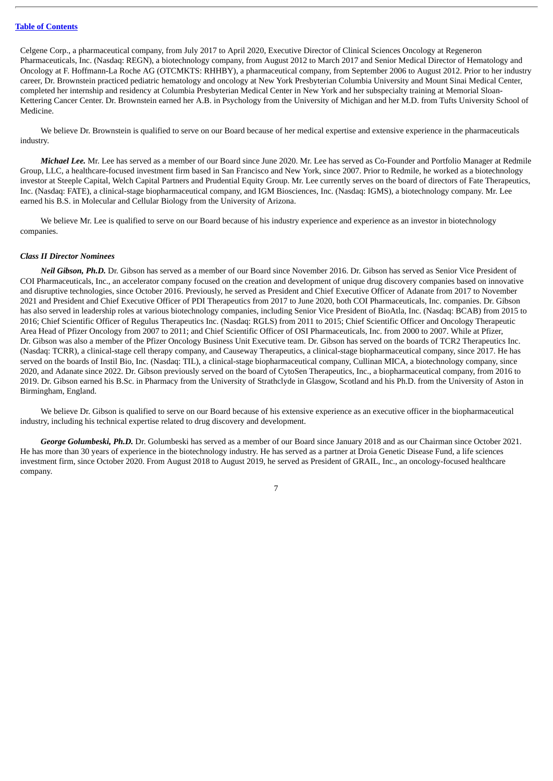Celgene Corp., a pharmaceutical company, from July 2017 to April 2020, Executive Director of Clinical Sciences Oncology at Regeneron Pharmaceuticals, Inc. (Nasdaq: REGN), a biotechnology company, from August 2012 to March 2017 and Senior Medical Director of Hematology and Oncology at F. Hoffmann-La Roche AG (OTCMKTS: RHHBY), a pharmaceutical company, from September 2006 to August 2012. Prior to her industry career, Dr. Brownstein practiced pediatric hematology and oncology at New York Presbyterian Columbia University and Mount Sinai Medical Center, completed her internship and residency at Columbia Presbyterian Medical Center in New York and her subspecialty training at Memorial Sloan-Kettering Cancer Center. Dr. Brownstein earned her A.B. in Psychology from the University of Michigan and her M.D. from Tufts University School of Medicine.

We believe Dr. Brownstein is qualified to serve on our Board because of her medical expertise and extensive experience in the pharmaceuticals industry.

*Michael Lee.* Mr. Lee has served as a member of our Board since June 2020. Mr. Lee has served as Co-Founder and Portfolio Manager at Redmile Group, LLC, a healthcare-focused investment firm based in San Francisco and New York, since 2007. Prior to Redmile, he worked as a biotechnology investor at Steeple Capital, Welch Capital Partners and Prudential Equity Group. Mr. Lee currently serves on the board of directors of Fate Therapeutics, Inc. (Nasdaq: FATE), a clinical-stage biopharmaceutical company, and IGM Biosciences, Inc. (Nasdaq: IGMS), a biotechnology company. Mr. Lee earned his B.S. in Molecular and Cellular Biology from the University of Arizona.

We believe Mr. Lee is qualified to serve on our Board because of his industry experience and experience as an investor in biotechnology companies.

### *Class II Director Nominees*

*Neil Gibson, Ph.D.* Dr. Gibson has served as a member of our Board since November 2016. Dr. Gibson has served as Senior Vice President of COI Pharmaceuticals, Inc., an accelerator company focused on the creation and development of unique drug discovery companies based on innovative and disruptive technologies, since October 2016. Previously, he served as President and Chief Executive Officer of Adanate from 2017 to November 2021 and President and Chief Executive Officer of PDI Therapeutics from 2017 to June 2020, both COI Pharmaceuticals, Inc. companies. Dr. Gibson has also served in leadership roles at various biotechnology companies, including Senior Vice President of BioAtla, Inc. (Nasdaq: BCAB) from 2015 to 2016; Chief Scientific Officer of Regulus Therapeutics Inc. (Nasdaq: RGLS) from 2011 to 2015; Chief Scientific Officer and Oncology Therapeutic Area Head of Pfizer Oncology from 2007 to 2011; and Chief Scientific Officer of OSI Pharmaceuticals, Inc. from 2000 to 2007. While at Pfizer. Dr. Gibson was also a member of the Pfizer Oncology Business Unit Executive team. Dr. Gibson has served on the boards of TCR2 Therapeutics Inc. (Nasdaq: TCRR), a clinical-stage cell therapy company, and Causeway Therapeutics, a clinical-stage biopharmaceutical company, since 2017. He has served on the boards of Instil Bio, Inc. (Nasdaq: TIL), a clinical-stage biopharmaceutical company, Cullinan MICA, a biotechnology company, since 2020, and Adanate since 2022. Dr. Gibson previously served on the board of CytoSen Therapeutics, Inc., a biopharmaceutical company, from 2016 to 2019. Dr. Gibson earned his B.Sc. in Pharmacy from the University of Strathclyde in Glasgow, Scotland and his Ph.D. from the University of Aston in Birmingham, England.

We believe Dr. Gibson is qualified to serve on our Board because of his extensive experience as an executive officer in the biopharmaceutical industry, including his technical expertise related to drug discovery and development.

*George Golumbeski, Ph.D.* Dr. Golumbeski has served as a member of our Board since January 2018 and as our Chairman since October 2021. He has more than 30 years of experience in the biotechnology industry. He has served as a partner at Droia Genetic Disease Fund, a life sciences investment firm, since October 2020. From August 2018 to August 2019, he served as President of GRAIL, Inc., an oncology-focused healthcare company.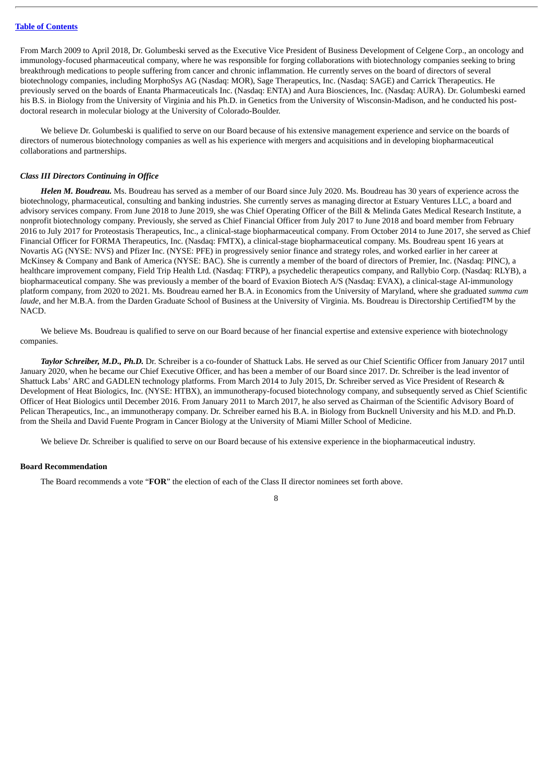From March 2009 to April 2018, Dr. Golumbeski served as the Executive Vice President of Business Development of Celgene Corp., an oncology and immunology-focused pharmaceutical company, where he was responsible for forging collaborations with biotechnology companies seeking to bring breakthrough medications to people suffering from cancer and chronic inflammation. He currently serves on the board of directors of several biotechnology companies, including MorphoSys AG (Nasdaq: MOR), Sage Therapeutics, Inc. (Nasdaq: SAGE) and Carrick Therapeutics. He previously served on the boards of Enanta Pharmaceuticals Inc. (Nasdaq: ENTA) and Aura Biosciences, Inc. (Nasdaq: AURA). Dr. Golumbeski earned his B.S. in Biology from the University of Virginia and his Ph.D. in Genetics from the University of Wisconsin-Madison, and he conducted his postdoctoral research in molecular biology at the University of Colorado-Boulder.

We believe Dr. Golumbeski is qualified to serve on our Board because of his extensive management experience and service on the boards of directors of numerous biotechnology companies as well as his experience with mergers and acquisitions and in developing biopharmaceutical collaborations and partnerships.

### *Class III Directors Continuing in Office*

*Helen M. Boudreau.* Ms. Boudreau has served as a member of our Board since July 2020. Ms. Boudreau has 30 years of experience across the biotechnology, pharmaceutical, consulting and banking industries. She currently serves as managing director at Estuary Ventures LLC, a board and advisory services company. From June 2018 to June 2019, she was Chief Operating Officer of the Bill & Melinda Gates Medical Research Institute, a nonprofit biotechnology company. Previously, she served as Chief Financial Officer from July 2017 to June 2018 and board member from February 2016 to July 2017 for Proteostasis Therapeutics, Inc., a clinical-stage biopharmaceutical company. From October 2014 to June 2017, she served as Chief Financial Officer for FORMA Therapeutics, Inc. (Nasdaq: FMTX), a clinical-stage biopharmaceutical company. Ms. Boudreau spent 16 years at Novartis AG (NYSE: NVS) and Pfizer Inc. (NYSE: PFE) in progressively senior finance and strategy roles, and worked earlier in her career at McKinsey & Company and Bank of America (NYSE: BAC). She is currently a member of the board of directors of Premier, Inc. (Nasdaq: PINC), a healthcare improvement company, Field Trip Health Ltd. (Nasdaq: FTRP), a psychedelic therapeutics company, and Rallybio Corp. (Nasdaq: RLYB), a biopharmaceutical company. She was previously a member of the board of Evaxion Biotech A/S (Nasdaq: EVAX), a clinical-stage AI-immunology platform company, from 2020 to 2021. Ms. Boudreau earned her B.A. in Economics from the University of Maryland, where she graduated *summa cum laude*, and her M.B.A. from the Darden Graduate School of Business at the University of Virginia. Ms. Boudreau is Directorship CertifiedTM by the NACD.

We believe Ms. Boudreau is qualified to serve on our Board because of her financial expertise and extensive experience with biotechnology companies.

*Taylor Schreiber, M.D., Ph.D.* Dr. Schreiber is a co-founder of Shattuck Labs. He served as our Chief Scientific Officer from January 2017 until January 2020, when he became our Chief Executive Officer, and has been a member of our Board since 2017. Dr. Schreiber is the lead inventor of Shattuck Labs' ARC and GADLEN technology platforms. From March 2014 to July 2015, Dr. Schreiber served as Vice President of Research & Development of Heat Biologics, Inc. (NYSE: HTBX), an immunotherapy-focused biotechnology company, and subsequently served as Chief Scientific Officer of Heat Biologics until December 2016. From January 2011 to March 2017, he also served as Chairman of the Scientific Advisory Board of Pelican Therapeutics, Inc., an immunotherapy company. Dr. Schreiber earned his B.A. in Biology from Bucknell University and his M.D. and Ph.D. from the Sheila and David Fuente Program in Cancer Biology at the University of Miami Miller School of Medicine.

We believe Dr. Schreiber is qualified to serve on our Board because of his extensive experience in the biopharmaceutical industry.

### **Board Recommendation**

The Board recommends a vote "**FOR**" the election of each of the Class II director nominees set forth above.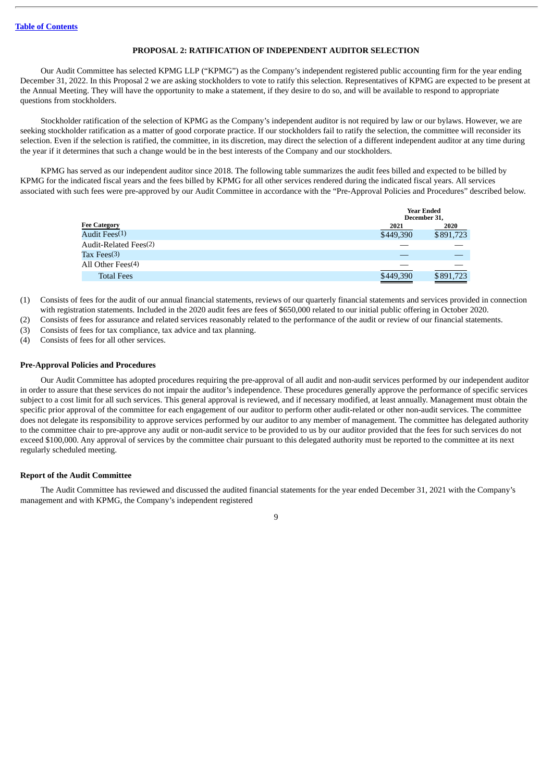### **PROPOSAL 2: RATIFICATION OF INDEPENDENT AUDITOR SELECTION**

<span id="page-11-0"></span>Our Audit Committee has selected KPMG LLP ("KPMG") as the Company's independent registered public accounting firm for the year ending December 31, 2022. In this Proposal 2 we are asking stockholders to vote to ratify this selection. Representatives of KPMG are expected to be present at the Annual Meeting. They will have the opportunity to make a statement, if they desire to do so, and will be available to respond to appropriate questions from stockholders.

Stockholder ratification of the selection of KPMG as the Company's independent auditor is not required by law or our bylaws. However, we are seeking stockholder ratification as a matter of good corporate practice. If our stockholders fail to ratify the selection, the committee will reconsider its selection. Even if the selection is ratified, the committee, in its discretion, may direct the selection of a different independent auditor at any time during the year if it determines that such a change would be in the best interests of the Company and our stockholders.

KPMG has served as our independent auditor since 2018. The following table summarizes the audit fees billed and expected to be billed by KPMG for the indicated fiscal years and the fees billed by KPMG for all other services rendered during the indicated fiscal years. All services associated with such fees were pre-approved by our Audit Committee in accordance with the "Pre-Approval Policies and Procedures" described below.

|                                   |           | <b>Year Ended</b><br>December 31. |
|-----------------------------------|-----------|-----------------------------------|
| <b>Fee Category</b>               | 2021      | 2020                              |
| Audit Fees(1)                     | \$449,390 | \$891,723                         |
| Audit-Related Fees <sup>(2)</sup> |           |                                   |
| Tax Fees $(3)$                    |           |                                   |
| All Other Fees $(4)$              |           |                                   |
| <b>Total Fees</b>                 | \$449,390 | \$891,723                         |

- (1) Consists of fees for the audit of our annual financial statements, reviews of our quarterly financial statements and services provided in connection with registration statements. Included in the 2020 audit fees are fees of \$650,000 related to our initial public offering in October 2020.
- (2) Consists of fees for assurance and related services reasonably related to the performance of the audit or review of our financial statements.
- (3) Consists of fees for tax compliance, tax advice and tax planning.
- (4) Consists of fees for all other services.

### **Pre-Approval Policies and Procedures**

Our Audit Committee has adopted procedures requiring the pre-approval of all audit and non-audit services performed by our independent auditor in order to assure that these services do not impair the auditor's independence. These procedures generally approve the performance of specific services subject to a cost limit for all such services. This general approval is reviewed, and if necessary modified, at least annually. Management must obtain the specific prior approval of the committee for each engagement of our auditor to perform other audit-related or other non-audit services. The committee does not delegate its responsibility to approve services performed by our auditor to any member of management. The committee has delegated authority to the committee chair to pre-approve any audit or non-audit service to be provided to us by our auditor provided that the fees for such services do not exceed \$100,000. Any approval of services by the committee chair pursuant to this delegated authority must be reported to the committee at its next regularly scheduled meeting.

### **Report of the Audit Committee**

The Audit Committee has reviewed and discussed the audited financial statements for the year ended December 31, 2021 with the Company's management and with KPMG, the Company's independent registered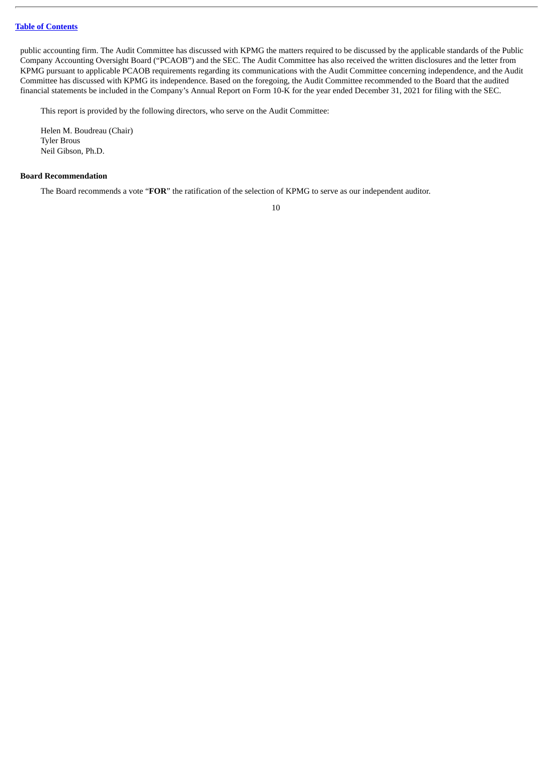public accounting firm. The Audit Committee has discussed with KPMG the matters required to be discussed by the applicable standards of the Public Company Accounting Oversight Board ("PCAOB") and the SEC. The Audit Committee has also received the written disclosures and the letter from KPMG pursuant to applicable PCAOB requirements regarding its communications with the Audit Committee concerning independence, and the Audit Committee has discussed with KPMG its independence. Based on the foregoing, the Audit Committee recommended to the Board that the audited financial statements be included in the Company's Annual Report on Form 10-K for the year ended December 31, 2021 for filing with the SEC.

This report is provided by the following directors, who serve on the Audit Committee:

Helen M. Boudreau (Chair) Tyler Brous Neil Gibson, Ph.D.

### **Board Recommendation**

The Board recommends a vote "**FOR**" the ratification of the selection of KPMG to serve as our independent auditor.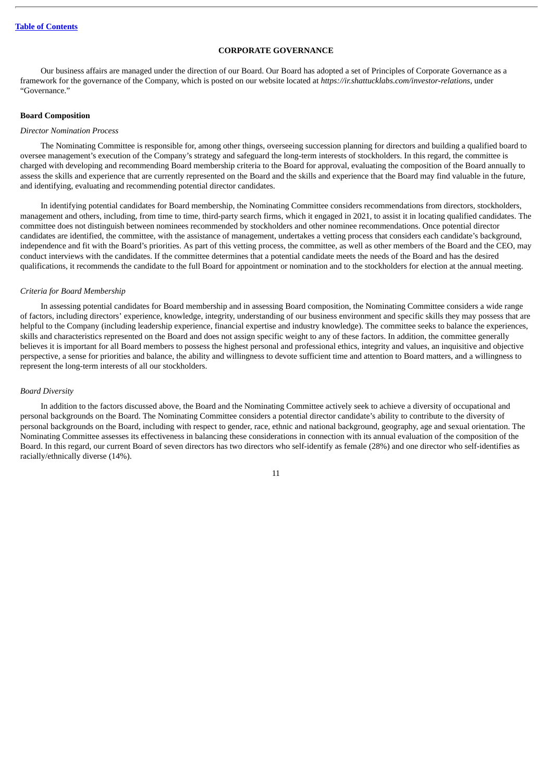### **CORPORATE GOVERNANCE**

<span id="page-13-0"></span>Our business affairs are managed under the direction of our Board. Our Board has adopted a set of Principles of Corporate Governance as a framework for the governance of the Company, which is posted on our website located at *https://ir.shattucklabs.com/investor-relations*, under "Governance."

### **Board Composition**

### *Director Nomination Process*

The Nominating Committee is responsible for, among other things, overseeing succession planning for directors and building a qualified board to oversee management's execution of the Company's strategy and safeguard the long-term interests of stockholders. In this regard, the committee is charged with developing and recommending Board membership criteria to the Board for approval, evaluating the composition of the Board annually to assess the skills and experience that are currently represented on the Board and the skills and experience that the Board may find valuable in the future, and identifying, evaluating and recommending potential director candidates.

In identifying potential candidates for Board membership, the Nominating Committee considers recommendations from directors, stockholders, management and others, including, from time to time, third-party search firms, which it engaged in 2021, to assist it in locating qualified candidates. The committee does not distinguish between nominees recommended by stockholders and other nominee recommendations. Once potential director candidates are identified, the committee, with the assistance of management, undertakes a vetting process that considers each candidate's background, independence and fit with the Board's priorities. As part of this vetting process, the committee, as well as other members of the Board and the CEO, may conduct interviews with the candidates. If the committee determines that a potential candidate meets the needs of the Board and has the desired qualifications, it recommends the candidate to the full Board for appointment or nomination and to the stockholders for election at the annual meeting.

### *Criteria for Board Membership*

In assessing potential candidates for Board membership and in assessing Board composition, the Nominating Committee considers a wide range of factors, including directors' experience, knowledge, integrity, understanding of our business environment and specific skills they may possess that are helpful to the Company (including leadership experience, financial expertise and industry knowledge). The committee seeks to balance the experiences, skills and characteristics represented on the Board and does not assign specific weight to any of these factors. In addition, the committee generally believes it is important for all Board members to possess the highest personal and professional ethics, integrity and values, an inquisitive and objective perspective, a sense for priorities and balance, the ability and willingness to devote sufficient time and attention to Board matters, and a willingness to represent the long-term interests of all our stockholders.

### *Board Diversity*

In addition to the factors discussed above, the Board and the Nominating Committee actively seek to achieve a diversity of occupational and personal backgrounds on the Board. The Nominating Committee considers a potential director candidate's ability to contribute to the diversity of personal backgrounds on the Board, including with respect to gender, race, ethnic and national background, geography, age and sexual orientation. The Nominating Committee assesses its effectiveness in balancing these considerations in connection with its annual evaluation of the composition of the Board. In this regard, our current Board of seven directors has two directors who self-identify as female (28%) and one director who self-identifies as racially/ethnically diverse (14%).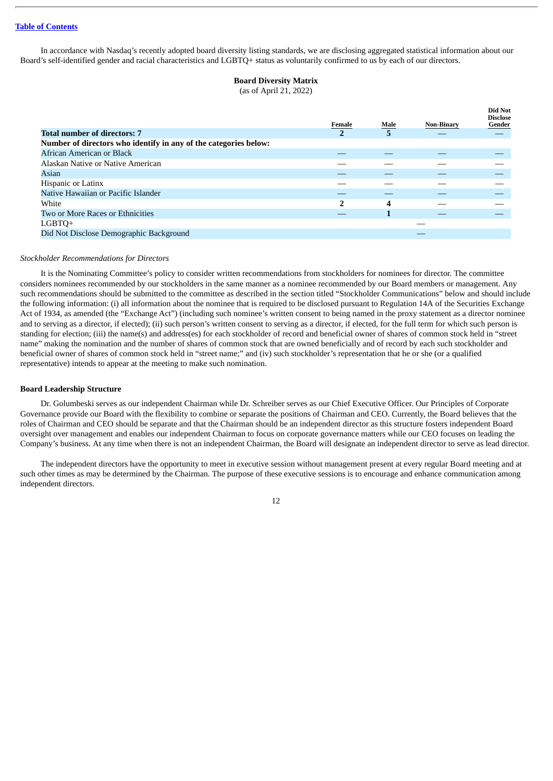In accordance with Nasdaq's recently adopted board diversity listing standards, we are disclosing aggregated statistical information about our Board's self-identified gender and racial characteristics and LGBTQ+ status as voluntarily confirmed to us by each of our directors.

# **Board Diversity Matrix**

(as of April 21, 2022)

|                                                                  | Female         | Male | <b>Non-Binary</b> | Did Not<br><b>Disclose</b><br>Gender |
|------------------------------------------------------------------|----------------|------|-------------------|--------------------------------------|
| <b>Total number of directors: 7</b>                              | $\overline{2}$ | 5    |                   |                                      |
| Number of directors who identify in any of the categories below: |                |      |                   |                                      |
| African American or Black                                        |                |      |                   |                                      |
| Alaskan Native or Native American                                |                |      |                   |                                      |
| Asian                                                            |                |      |                   |                                      |
| <b>Hispanic or Latinx</b>                                        |                |      |                   |                                      |
| Native Hawaiian or Pacific Islander                              |                |      |                   |                                      |
| White                                                            | 2              | 4    |                   |                                      |
| Two or More Races or Ethnicities                                 |                |      |                   |                                      |
| LGBTQ+                                                           |                |      |                   |                                      |
| Did Not Disclose Demographic Background                          |                |      |                   |                                      |

### *Stockholder Recommendations for Directors*

It is the Nominating Committee's policy to consider written recommendations from stockholders for nominees for director. The committee considers nominees recommended by our stockholders in the same manner as a nominee recommended by our Board members or management. Any such recommendations should be submitted to the committee as described in the section titled "Stockholder Communications" below and should include the following information: (i) all information about the nominee that is required to be disclosed pursuant to Regulation 14A of the Securities Exchange Act of 1934, as amended (the "Exchange Act") (including such nominee's written consent to being named in the proxy statement as a director nominee and to serving as a director, if elected); (ii) such person's written consent to serving as a director, if elected, for the full term for which such person is standing for election; (iii) the name(s) and address(es) for each stockholder of record and beneficial owner of shares of common stock held in "street name" making the nomination and the number of shares of common stock that are owned beneficially and of record by each such stockholder and beneficial owner of shares of common stock held in "street name;" and (iv) such stockholder's representation that he or she (or a qualified representative) intends to appear at the meeting to make such nomination.

### **Board Leadership Structure**

Dr. Golumbeski serves as our independent Chairman while Dr. Schreiber serves as our Chief Executive Officer. Our Principles of Corporate Governance provide our Board with the flexibility to combine or separate the positions of Chairman and CEO. Currently, the Board believes that the roles of Chairman and CEO should be separate and that the Chairman should be an independent director as this structure fosters independent Board oversight over management and enables our independent Chairman to focus on corporate governance matters while our CEO focuses on leading the Company's business. At any time when there is not an independent Chairman, the Board will designate an independent director to serve as lead director.

The independent directors have the opportunity to meet in executive session without management present at every regular Board meeting and at such other times as may be determined by the Chairman. The purpose of these executive sessions is to encourage and enhance communication among independent directors.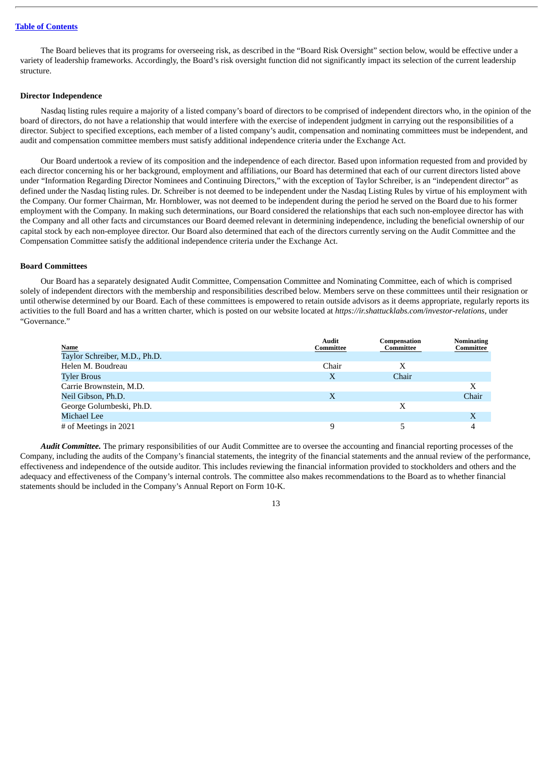The Board believes that its programs for overseeing risk, as described in the "Board Risk Oversight" section below, would be effective under a variety of leadership frameworks. Accordingly, the Board's risk oversight function did not significantly impact its selection of the current leadership structure.

## **Director Independence**

Nasdaq listing rules require a majority of a listed company's board of directors to be comprised of independent directors who, in the opinion of the board of directors, do not have a relationship that would interfere with the exercise of independent judgment in carrying out the responsibilities of a director. Subject to specified exceptions, each member of a listed company's audit, compensation and nominating committees must be independent, and audit and compensation committee members must satisfy additional independence criteria under the Exchange Act.

Our Board undertook a review of its composition and the independence of each director. Based upon information requested from and provided by each director concerning his or her background, employment and affiliations, our Board has determined that each of our current directors listed above under "Information Regarding Director Nominees and Continuing Directors," with the exception of Taylor Schreiber, is an "independent director" as defined under the Nasdaq listing rules. Dr. Schreiber is not deemed to be independent under the Nasdaq Listing Rules by virtue of his employment with the Company. Our former Chairman, Mr. Hornblower, was not deemed to be independent during the period he served on the Board due to his former employment with the Company. In making such determinations, our Board considered the relationships that each such non-employee director has with the Company and all other facts and circumstances our Board deemed relevant in determining independence, including the beneficial ownership of our capital stock by each non-employee director. Our Board also determined that each of the directors currently serving on the Audit Committee and the Compensation Committee satisfy the additional independence criteria under the Exchange Act.

### **Board Committees**

Our Board has a separately designated Audit Committee, Compensation Committee and Nominating Committee, each of which is comprised solely of independent directors with the membership and responsibilities described below. Members serve on these committees until their resignation or until otherwise determined by our Board. Each of these committees is empowered to retain outside advisors as it deems appropriate, regularly reports its activities to the full Board and has a written charter, which is posted on our website located at *https://ir.shattucklabs.com/investor-relations*, under "Governance."

|                                       | <b>Audit</b><br>Committee | Compensation<br>Committee | <b>Nominating</b><br>Committee |
|---------------------------------------|---------------------------|---------------------------|--------------------------------|
| Name<br>Taylor Schreiber, M.D., Ph.D. |                           |                           |                                |
| Helen M. Boudreau                     | Chair                     |                           |                                |
| <b>Tyler Brous</b>                    | X                         | Chair                     |                                |
| Carrie Brownstein, M.D.               |                           |                           | Х                              |
| Neil Gibson, Ph.D.                    | X                         |                           | Chair                          |
| George Golumbeski, Ph.D.              |                           | Х                         |                                |
| Michael Lee                           |                           |                           | X                              |
| # of Meetings in 2021                 |                           |                           | 4                              |

*Audit Committee.* The primary responsibilities of our Audit Committee are to oversee the accounting and financial reporting processes of the Company, including the audits of the Company's financial statements, the integrity of the financial statements and the annual review of the performance, effectiveness and independence of the outside auditor. This includes reviewing the financial information provided to stockholders and others and the adequacy and effectiveness of the Company's internal controls. The committee also makes recommendations to the Board as to whether financial statements should be included in the Company's Annual Report on Form 10-K.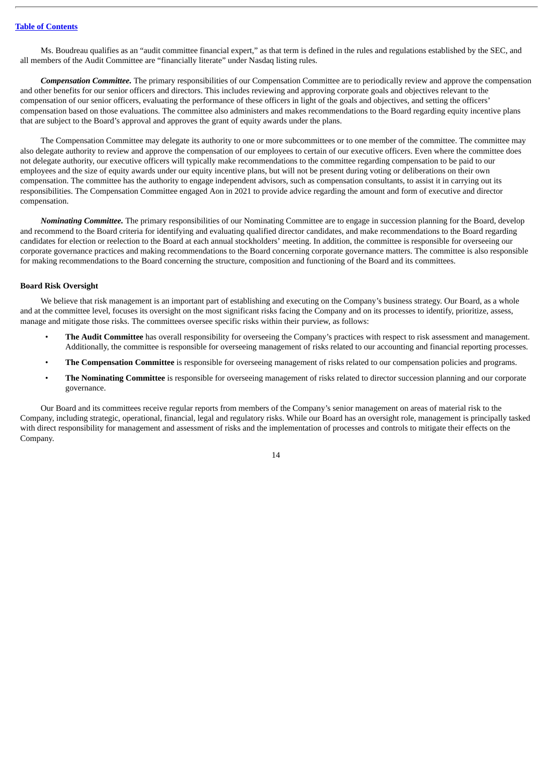Ms. Boudreau qualifies as an "audit committee financial expert," as that term is defined in the rules and regulations established by the SEC, and all members of the Audit Committee are "financially literate" under Nasdaq listing rules.

*Compensation Committee.* The primary responsibilities of our Compensation Committee are to periodically review and approve the compensation and other benefits for our senior officers and directors. This includes reviewing and approving corporate goals and objectives relevant to the compensation of our senior officers, evaluating the performance of these officers in light of the goals and objectives, and setting the officers' compensation based on those evaluations. The committee also administers and makes recommendations to the Board regarding equity incentive plans that are subject to the Board's approval and approves the grant of equity awards under the plans.

The Compensation Committee may delegate its authority to one or more subcommittees or to one member of the committee. The committee may also delegate authority to review and approve the compensation of our employees to certain of our executive officers. Even where the committee does not delegate authority, our executive officers will typically make recommendations to the committee regarding compensation to be paid to our employees and the size of equity awards under our equity incentive plans, but will not be present during voting or deliberations on their own compensation. The committee has the authority to engage independent advisors, such as compensation consultants, to assist it in carrying out its responsibilities. The Compensation Committee engaged Aon in 2021 to provide advice regarding the amount and form of executive and director compensation.

*Nominating Committee.* The primary responsibilities of our Nominating Committee are to engage in succession planning for the Board, develop and recommend to the Board criteria for identifying and evaluating qualified director candidates, and make recommendations to the Board regarding candidates for election or reelection to the Board at each annual stockholders' meeting. In addition, the committee is responsible for overseeing our corporate governance practices and making recommendations to the Board concerning corporate governance matters. The committee is also responsible for making recommendations to the Board concerning the structure, composition and functioning of the Board and its committees.

### **Board Risk Oversight**

We believe that risk management is an important part of establishing and executing on the Company's business strategy. Our Board, as a whole and at the committee level, focuses its oversight on the most significant risks facing the Company and on its processes to identify, prioritize, assess, manage and mitigate those risks. The committees oversee specific risks within their purview, as follows:

- **The Audit Committee** has overall responsibility for overseeing the Company's practices with respect to risk assessment and management. Additionally, the committee is responsible for overseeing management of risks related to our accounting and financial reporting processes.
- **The Compensation Committee** is responsible for overseeing management of risks related to our compensation policies and programs.
- **The Nominating Committee** is responsible for overseeing management of risks related to director succession planning and our corporate governance.

Our Board and its committees receive regular reports from members of the Company's senior management on areas of material risk to the Company, including strategic, operational, financial, legal and regulatory risks. While our Board has an oversight role, management is principally tasked with direct responsibility for management and assessment of risks and the implementation of processes and controls to mitigate their effects on the Company.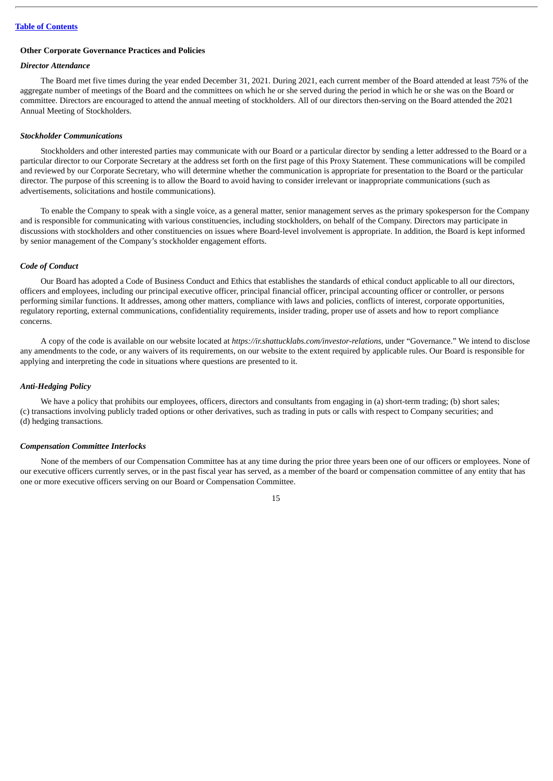### **Other Corporate Governance Practices and Policies**

# *Director Attendance*

The Board met five times during the year ended December 31, 2021. During 2021, each current member of the Board attended at least 75% of the aggregate number of meetings of the Board and the committees on which he or she served during the period in which he or she was on the Board or committee. Directors are encouraged to attend the annual meeting of stockholders. All of our directors then-serving on the Board attended the 2021 Annual Meeting of Stockholders.

### *Stockholder Communications*

Stockholders and other interested parties may communicate with our Board or a particular director by sending a letter addressed to the Board or a particular director to our Corporate Secretary at the address set forth on the first page of this Proxy Statement. These communications will be compiled and reviewed by our Corporate Secretary, who will determine whether the communication is appropriate for presentation to the Board or the particular director. The purpose of this screening is to allow the Board to avoid having to consider irrelevant or inappropriate communications (such as advertisements, solicitations and hostile communications).

To enable the Company to speak with a single voice, as a general matter, senior management serves as the primary spokesperson for the Company and is responsible for communicating with various constituencies, including stockholders, on behalf of the Company. Directors may participate in discussions with stockholders and other constituencies on issues where Board-level involvement is appropriate. In addition, the Board is kept informed by senior management of the Company's stockholder engagement efforts.

### *Code of Conduct*

Our Board has adopted a Code of Business Conduct and Ethics that establishes the standards of ethical conduct applicable to all our directors, officers and employees, including our principal executive officer, principal financial officer, principal accounting officer or controller, or persons performing similar functions. It addresses, among other matters, compliance with laws and policies, conflicts of interest, corporate opportunities, regulatory reporting, external communications, confidentiality requirements, insider trading, proper use of assets and how to report compliance concerns.

A copy of the code is available on our website located at *https://ir.shattucklabs.com/investor-relations*, under "Governance." We intend to disclose any amendments to the code, or any waivers of its requirements, on our website to the extent required by applicable rules. Our Board is responsible for applying and interpreting the code in situations where questions are presented to it.

### *Anti-Hedging Policy*

We have a policy that prohibits our employees, officers, directors and consultants from engaging in (a) short-term trading; (b) short sales; (c) transactions involving publicly traded options or other derivatives, such as trading in puts or calls with respect to Company securities; and (d) hedging transactions.

### *Compensation Committee Interlocks*

None of the members of our Compensation Committee has at any time during the prior three years been one of our officers or employees. None of our executive officers currently serves, or in the past fiscal year has served, as a member of the board or compensation committee of any entity that has one or more executive officers serving on our Board or Compensation Committee.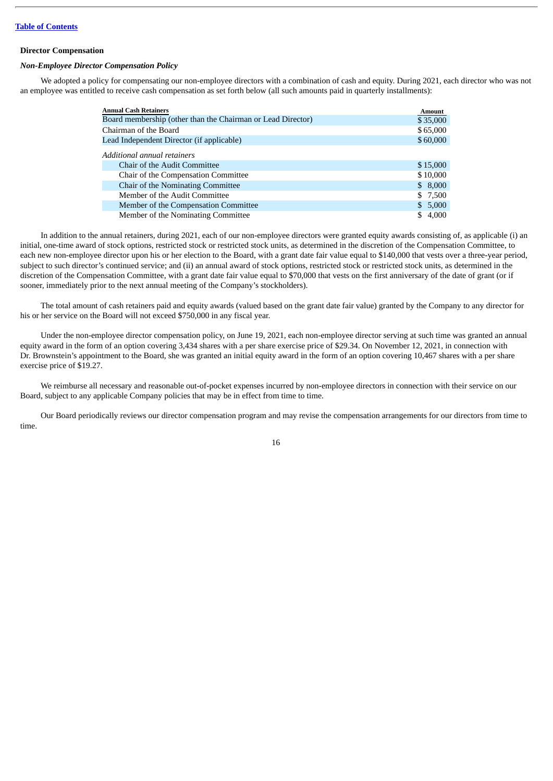### **Director Compensation**

### *Non-Employee Director Compensation Policy*

We adopted a policy for compensating our non-employee directors with a combination of cash and equity. During 2021, each director who was not an employee was entitled to receive cash compensation as set forth below (all such amounts paid in quarterly installments):

| <b>Annual Cash Retainers</b>                                | <b>Amount</b> |
|-------------------------------------------------------------|---------------|
| Board membership (other than the Chairman or Lead Director) | \$35,000      |
| Chairman of the Board                                       | \$65,000      |
| Lead Independent Director (if applicable)                   | \$60,000      |
| Additional annual retainers                                 |               |
| <b>Chair of the Audit Committee</b>                         | \$15,000      |
| Chair of the Compensation Committee                         | \$10,000      |
| Chair of the Nominating Committee                           | \$8,000       |
| Member of the Audit Committee                               | \$7,500       |
| Member of the Compensation Committee                        | \$5,000       |
| Member of the Nominating Committee                          | 4,000         |

In addition to the annual retainers, during 2021, each of our non-employee directors were granted equity awards consisting of, as applicable (i) an initial, one-time award of stock options, restricted stock or restricted stock units, as determined in the discretion of the Compensation Committee, to each new non-employee director upon his or her election to the Board, with a grant date fair value equal to \$140,000 that vests over a three-year period. subject to such director's continued service; and (ii) an annual award of stock options, restricted stock or restricted stock units, as determined in the discretion of the Compensation Committee, with a grant date fair value equal to \$70,000 that vests on the first anniversary of the date of grant (or if sooner, immediately prior to the next annual meeting of the Company's stockholders).

The total amount of cash retainers paid and equity awards (valued based on the grant date fair value) granted by the Company to any director for his or her service on the Board will not exceed \$750,000 in any fiscal year.

Under the non-employee director compensation policy, on June 19, 2021, each non-employee director serving at such time was granted an annual equity award in the form of an option covering 3,434 shares with a per share exercise price of \$29.34. On November 12, 2021, in connection with Dr. Brownstein's appointment to the Board, she was granted an initial equity award in the form of an option covering 10,467 shares with a per share exercise price of \$19.27.

We reimburse all necessary and reasonable out-of-pocket expenses incurred by non-employee directors in connection with their service on our Board, subject to any applicable Company policies that may be in effect from time to time.

Our Board periodically reviews our director compensation program and may revise the compensation arrangements for our directors from time to time.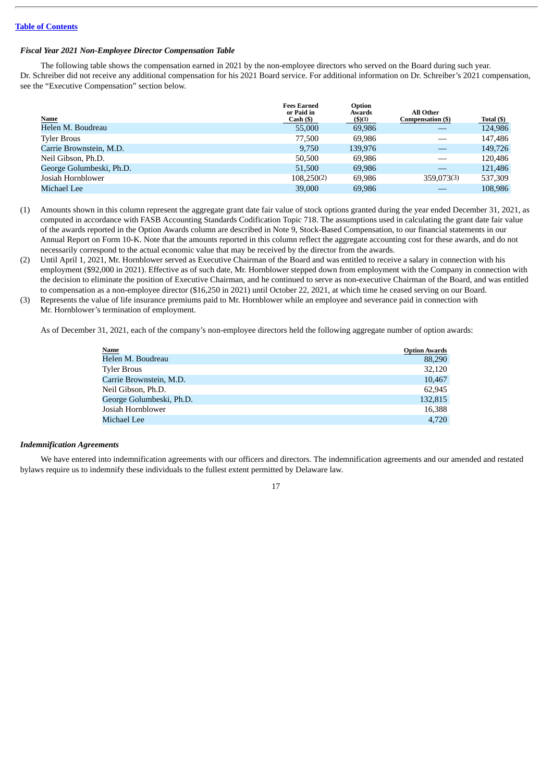### *Fiscal Year 2021 Non-Employee Director Compensation Table*

The following table shows the compensation earned in 2021 by the non-employee directors who served on the Board during such year. Dr. Schreiber did not receive any additional compensation for his 2021 Board service. For additional information on Dr. Schreiber's 2021 compensation, see the "Executive Compensation" section below.

| Name                     | <b>Fees Earned</b><br>or Paid in<br>$Cash (\$)$ | Option<br>Awards<br>$($ \$ $)(1)$ | All Other<br>Compensation (\$) | Total (\$) |
|--------------------------|-------------------------------------------------|-----------------------------------|--------------------------------|------------|
| Helen M. Boudreau        | 55,000                                          | 69,986                            |                                | 124,986    |
| <b>Tyler Brous</b>       | 77.500                                          | 69.986                            |                                | 147,486    |
| Carrie Brownstein, M.D.  | 9.750                                           | 139.976                           |                                | 149,726    |
| Neil Gibson, Ph.D.       | 50,500                                          | 69.986                            |                                | 120,486    |
| George Golumbeski, Ph.D. | 51,500                                          | 69,986                            |                                | 121,486    |
| Josiah Hornblower        | 108.250(2)                                      | 69.986                            | 359,073(3)                     | 537.309    |
| Michael Lee              | 39,000                                          | 69,986                            |                                | 108,986    |

- (1) Amounts shown in this column represent the aggregate grant date fair value of stock options granted during the year ended December 31, 2021, as computed in accordance with FASB Accounting Standards Codification Topic 718. The assumptions used in calculating the grant date fair value of the awards reported in the Option Awards column are described in Note 9, Stock-Based Compensation, to our financial statements in our Annual Report on Form 10-K. Note that the amounts reported in this column reflect the aggregate accounting cost for these awards, and do not necessarily correspond to the actual economic value that may be received by the director from the awards.
- (2) Until April 1, 2021, Mr. Hornblower served as Executive Chairman of the Board and was entitled to receive a salary in connection with his employment (\$92,000 in 2021). Effective as of such date, Mr. Hornblower stepped down from employment with the Company in connection with the decision to eliminate the position of Executive Chairman, and he continued to serve as non-executive Chairman of the Board, and was entitled to compensation as a non-employee director (\$16,250 in 2021) until October 22, 2021, at which time he ceased serving on our Board.
- (3) Represents the value of life insurance premiums paid to Mr. Hornblower while an employee and severance paid in connection with Mr. Hornblower's termination of employment.

As of December 31, 2021, each of the company's non-employee directors held the following aggregate number of option awards:

| <b>Name</b>              | <b>Option Awards</b> |
|--------------------------|----------------------|
| Helen M. Boudreau        | 88,290               |
| Tyler Brous              | 32,120               |
| Carrie Brownstein, M.D.  | 10,467               |
| Neil Gibson, Ph.D.       | 62,945               |
| George Golumbeski, Ph.D. | 132,815              |
| Josiah Hornblower        | 16.388               |
| Michael Lee              | 4.720                |

### *Indemnification Agreements*

We have entered into indemnification agreements with our officers and directors. The indemnification agreements and our amended and restated bylaws require us to indemnify these individuals to the fullest extent permitted by Delaware law.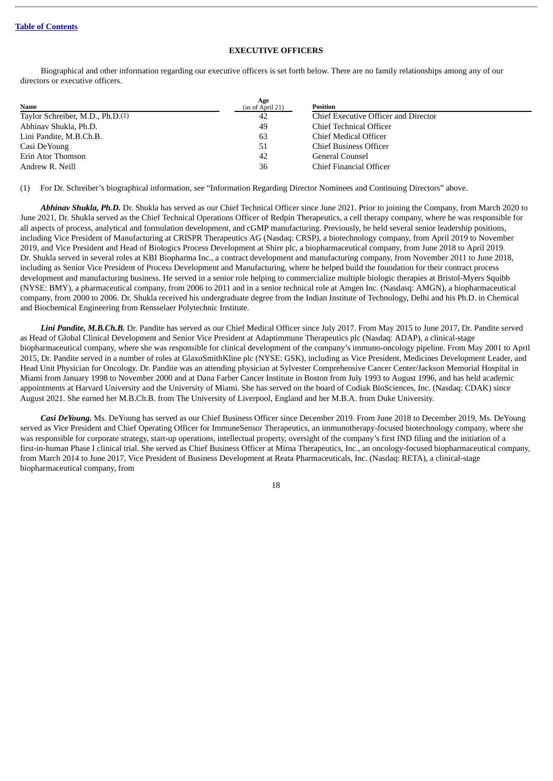# **EXECUTIVE OFFICERS**

<span id="page-20-0"></span>Biographical and other information regarding our executive officers is set forth below. There are no family relationships among any of our directors or executive officers.

| Name                                         | Age<br>(as of April 21) | <b>Position</b>                      |
|----------------------------------------------|-------------------------|--------------------------------------|
| Taylor Schreiber, M.D., Ph.D. <sup>(1)</sup> | 42                      | Chief Executive Officer and Director |
| Abhinav Shukla, Ph.D.                        | 49                      | Chief Technical Officer              |
| Lini Pandite, M.B.Ch.B.                      | 63                      | Chief Medical Officer                |
| Casi DeYoung                                 | -51                     | <b>Chief Business Officer</b>        |
| Erin Ator Thomson                            | 42                      | General Counsel                      |
| Andrew R. Neill                              | 36                      | Chief Financial Officer              |

(1) For Dr. Schreiber's biographical information, see "Information Regarding Director Nominees and Continuing Directors" above.

*Abhinav Shukla, Ph.D.* Dr. Shukla has served as our Chief Technical Officer since June 2021. Prior to joining the Company, from March 2020 to June 2021, Dr. Shukla served as the Chief Technical Operations Officer of Redpin Therapeutics, a cell therapy company, where he was responsible for all aspects of process, analytical and formulation development, and cGMP manufacturing. Previously, he held several senior leadership positions, including Vice President of Manufacturing at CRISPR Therapeutics AG (Nasdaq: CRSP), a biotechnology company, from April 2019 to November 2019, and Vice President and Head of Biologics Process Development at Shire plc, a biopharmaceutical company, from June 2018 to April 2019. Dr. Shukla served in several roles at KBI Biopharma Inc., a contract development and manufacturing company, from November 2011 to June 2018, including as Senior Vice President of Process Development and Manufacturing, where he helped build the foundation for their contract process development and manufacturing business. He served in a senior role helping to commercialize multiple biologic therapies at Bristol-Myers Squibb (NYSE: BMY), a pharmaceutical company, from 2006 to 2011 and in a senior technical role at Amgen Inc. (Nasdasq: AMGN), a biopharmaceutical company, from 2000 to 2006. Dr. Shukla received his undergraduate degree from the Indian Institute of Technology, Delhi and his Ph.D. in Chemical and Biochemical Engineering from Rensselaer Polytechnic Institute.

*Lini Pandite, M.B.Ch.B.* Dr. Pandite has served as our Chief Medical Officer since July 2017. From May 2015 to June 2017, Dr. Pandite served as Head of Global Clinical Development and Senior Vice President at Adaptimmune Therapeutics plc (Nasdaq: ADAP), a clinical-stage biopharmaceutical company, where she was responsible for clinical development of the company's immuno-oncology pipeline. From May 2001 to April 2015, Dr. Pandite served in a number of roles at GlaxoSmithKline plc (NYSE: GSK), including as Vice President, Medicines Development Leader, and Head Unit Physician for Oncology. Dr. Pandite was an attending physician at Sylvester Comprehensive Cancer Center/Jackson Memorial Hospital in Miami from January 1998 to November 2000 and at Dana Farber Cancer Institute in Boston from July 1993 to August 1996, and has held academic appointments at Harvard University and the University of Miami. She has served on the board of Codiak BioSciences, Inc. (Nasdaq: CDAK) since August 2021. She earned her M.B.Ch.B. from The University of Liverpool, England and her M.B.A. from Duke University.

*Casi DeYoung.* Ms. DeYoung has served as our Chief Business Officer since December 2019. From June 2018 to December 2019, Ms. DeYoung served as Vice President and Chief Operating Officer for ImmuneSensor Therapeutics, an immunotherapy-focused biotechnology company, where she was responsible for corporate strategy, start-up operations, intellectual property, oversight of the company's first IND filing and the initiation of a first-in-human Phase I clinical trial. She served as Chief Business Officer at Mirna Therapeutics, Inc., an oncology-focused biopharmaceutical company, from March 2014 to June 2017, Vice President of Business Development at Reata Pharmaceuticals, Inc. (Nasdaq: RETA), a clinical-stage biopharmaceutical company, from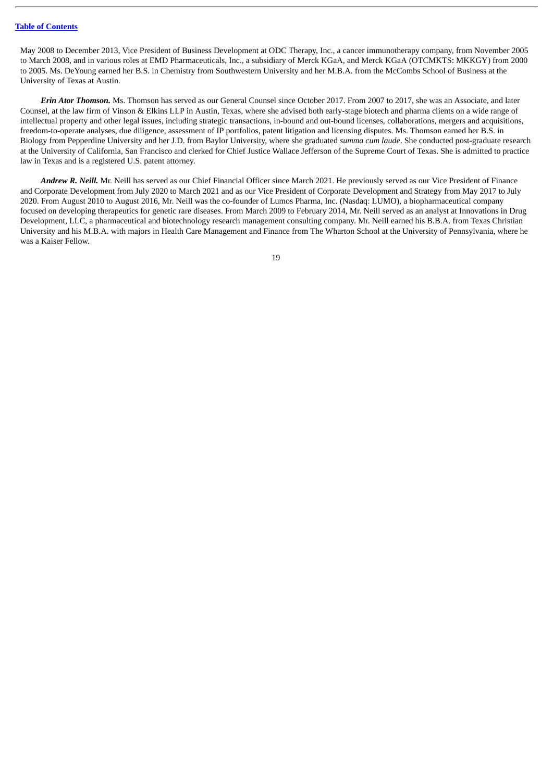May 2008 to December 2013, Vice President of Business Development at ODC Therapy, Inc., a cancer immunotherapy company, from November 2005 to March 2008, and in various roles at EMD Pharmaceuticals, Inc., a subsidiary of Merck KGaA, and Merck KGaA (OTCMKTS: MKKGY) from 2000 to 2005. Ms. DeYoung earned her B.S. in Chemistry from Southwestern University and her M.B.A. from the McCombs School of Business at the University of Texas at Austin.

*Erin Ator Thomson.* Ms. Thomson has served as our General Counsel since October 2017. From 2007 to 2017, she was an Associate, and later Counsel, at the law firm of Vinson & Elkins LLP in Austin, Texas, where she advised both early-stage biotech and pharma clients on a wide range of intellectual property and other legal issues, including strategic transactions, in-bound and out-bound licenses, collaborations, mergers and acquisitions, freedom-to-operate analyses, due diligence, assessment of IP portfolios, patent litigation and licensing disputes. Ms. Thomson earned her B.S. in Biology from Pepperdine University and her J.D. from Baylor University, where she graduated *summa cum laude*. She conducted post-graduate research at the University of California, San Francisco and clerked for Chief Justice Wallace Jefferson of the Supreme Court of Texas. She is admitted to practice law in Texas and is a registered U.S. patent attorney.

*Andrew R. Neill.* Mr. Neill has served as our Chief Financial Officer since March 2021. He previously served as our Vice President of Finance and Corporate Development from July 2020 to March 2021 and as our Vice President of Corporate Development and Strategy from May 2017 to July 2020. From August 2010 to August 2016, Mr. Neill was the co-founder of Lumos Pharma, Inc. (Nasdaq: LUMO), a biopharmaceutical company focused on developing therapeutics for genetic rare diseases. From March 2009 to February 2014, Mr. Neill served as an analyst at Innovations in Drug Development, LLC, a pharmaceutical and biotechnology research management consulting company. Mr. Neill earned his B.B.A. from Texas Christian University and his M.B.A. with majors in Health Care Management and Finance from The Wharton School at the University of Pennsylvania, where he was a Kaiser Fellow.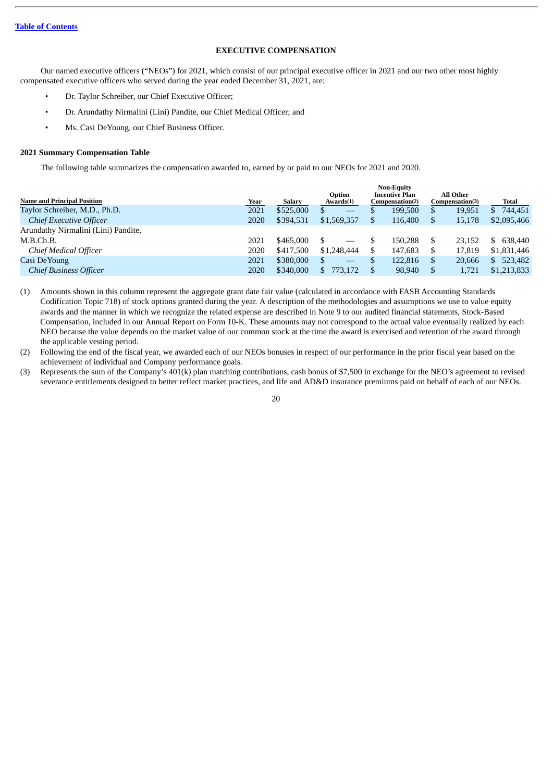# **EXECUTIVE COMPENSATION**

<span id="page-22-0"></span>Our named executive officers ("NEOs") for 2021, which consist of our principal executive officer in 2021 and our two other most highly compensated executive officers who served during the year ended December 31, 2021, are:

- Dr. Taylor Schreiber, our Chief Executive Officer;
- Dr. Arundathy Nirmalini (Lini) Pandite, our Chief Medical Officer; and
- Ms. Casi DeYoung, our Chief Business Officer.

### **2021 Summary Compensation Table**

The following table summarizes the compensation awarded to, earned by or paid to our NEOs for 2021 and 2020.

|                                     |      |               |                     | <b>Non-Equity</b>                        |    |                                     |               |
|-------------------------------------|------|---------------|---------------------|------------------------------------------|----|-------------------------------------|---------------|
| <b>Name and Principal Position</b>  | Year | <b>Salary</b> | Option<br>Awards(1) | <b>Incentive Plan</b><br>Compensation(2) |    | <b>All Other</b><br>Compensation(3) | Total         |
| Taylor Schreiber, M.D., Ph.D.       | 2021 | \$525,000     | S<br>$-$            | 199,500                                  |    | 19,951                              | 744,451<br>S. |
| Chief Executive Officer             | 2020 | \$394,531     | \$1,569,357         | 116,400                                  |    | 15,178                              | \$2,095,466   |
| Arundathy Nirmalini (Lini) Pandite, |      |               |                     |                                          |    |                                     |               |
| M.B.Ch.B.                           | 2021 | \$465,000     |                     | 150.288                                  | \$ | 23.152                              | 638,440<br>S. |
| Chief Medical Officer               | 2020 | \$417,500     | \$1,248,444         | 147,683                                  | S  | 17.819                              | \$1,831,446   |
| Casi De Young                       | 2021 | \$380,000     | \$                  | 122.816                                  | S  | 20.666                              | 523,482<br>\$ |
| <b>Chief Business Officer</b>       | 2020 | \$340,000     | \$.<br>773.172      | 98,940                                   |    | 1,721                               | \$1,213,833   |
|                                     |      |               |                     |                                          |    |                                     |               |

(1) Amounts shown in this column represent the aggregate grant date fair value (calculated in accordance with FASB Accounting Standards Codification Topic 718) of stock options granted during the year. A description of the methodologies and assumptions we use to value equity awards and the manner in which we recognize the related expense are described in Note 9 to our audited financial statements, Stock-Based Compensation, included in our Annual Report on Form 10-K. These amounts may not correspond to the actual value eventually realized by each NEO because the value depends on the market value of our common stock at the time the award is exercised and retention of the award through the applicable vesting period.

- (2) Following the end of the fiscal year, we awarded each of our NEOs bonuses in respect of our performance in the prior fiscal year based on the achievement of individual and Company performance goals.
- (3) Represents the sum of the Company's 401(k) plan matching contributions, cash bonus of \$7,500 in exchange for the NEO's agreement to revised severance entitlements designed to better reflect market practices, and life and AD&D insurance premiums paid on behalf of each of our NEOs.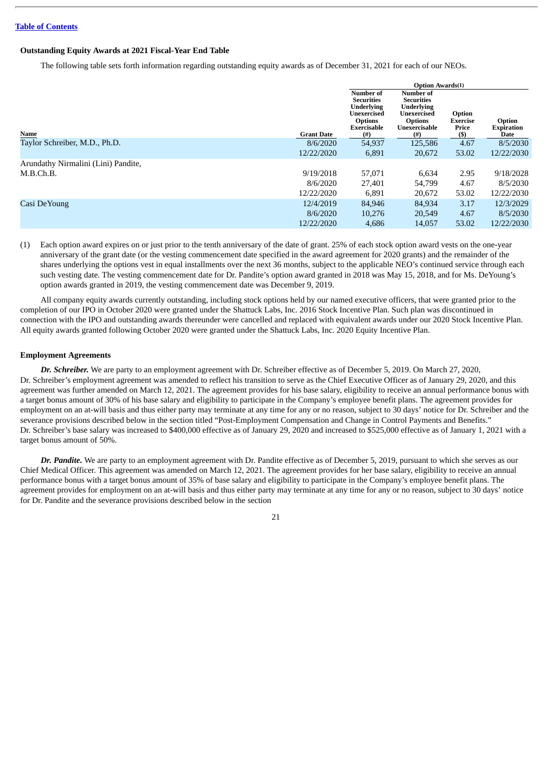# **Outstanding Equity Awards at 2021 Fiscal-Year End Table**

The following table sets forth information regarding outstanding equity awards as of December 31, 2021 for each of our NEOs.

|                                     |                   | <b>Option Awards(1)</b>                                                                                                   |                                                                                                               |                                              |                                     |
|-------------------------------------|-------------------|---------------------------------------------------------------------------------------------------------------------------|---------------------------------------------------------------------------------------------------------------|----------------------------------------------|-------------------------------------|
| Name                                | <b>Grant Date</b> | <b>Number of</b><br><b>Securities</b><br><b>Underlying</b><br>Unexercised<br><b>Options</b><br><b>Exercisable</b><br>(# ) | Number of<br><b>Securities</b><br><b>Underlying</b><br>Unexercised<br><b>Options</b><br>Unexercisable<br>(# ) | Option<br><b>Exercise</b><br>Price<br>$(\$)$ | Option<br><b>Expiration</b><br>Date |
| Taylor Schreiber, M.D., Ph.D.       | 8/6/2020          | 54,937                                                                                                                    | 125,586                                                                                                       | 4.67                                         | 8/5/2030                            |
|                                     | 12/22/2020        | 6,891                                                                                                                     | 20,672                                                                                                        | 53.02                                        | 12/22/2030                          |
| Arundathy Nirmalini (Lini) Pandite, |                   |                                                                                                                           |                                                                                                               |                                              |                                     |
| M.B.Ch.B.                           | 9/19/2018         | 57,071                                                                                                                    | 6,634                                                                                                         | 2.95                                         | 9/18/2028                           |
|                                     | 8/6/2020          | 27,401                                                                                                                    | 54,799                                                                                                        | 4.67                                         | 8/5/2030                            |
|                                     | 12/22/2020        | 6,891                                                                                                                     | 20,672                                                                                                        | 53.02                                        | 12/22/2030                          |
| Casi DeYoung                        | 12/4/2019         | 84,946                                                                                                                    | 84,934                                                                                                        | 3.17                                         | 12/3/2029                           |
|                                     | 8/6/2020          | 10,276                                                                                                                    | 20,549                                                                                                        | 4.67                                         | 8/5/2030                            |
|                                     | 12/22/2020        | 4,686                                                                                                                     | 14,057                                                                                                        | 53.02                                        | 12/22/2030                          |

(1) Each option award expires on or just prior to the tenth anniversary of the date of grant. 25% of each stock option award vests on the one-year anniversary of the grant date (or the vesting commencement date specified in the award agreement for 2020 grants) and the remainder of the shares underlying the options vest in equal installments over the next 36 months, subject to the applicable NEO's continued service through each such vesting date. The vesting commencement date for Dr. Pandite's option award granted in 2018 was May 15, 2018, and for Ms. DeYoung's option awards granted in 2019, the vesting commencement date was December 9, 2019.

All company equity awards currently outstanding, including stock options held by our named executive officers, that were granted prior to the completion of our IPO in October 2020 were granted under the Shattuck Labs, Inc. 2016 Stock Incentive Plan. Such plan was discontinued in connection with the IPO and outstanding awards thereunder were cancelled and replaced with equivalent awards under our 2020 Stock Incentive Plan. All equity awards granted following October 2020 were granted under the Shattuck Labs, Inc. 2020 Equity Incentive Plan.

# **Employment Agreements**

*Dr. Schreiber.* We are party to an employment agreement with Dr. Schreiber effective as of December 5, 2019. On March 27, 2020, Dr. Schreiber's employment agreement was amended to reflect his transition to serve as the Chief Executive Officer as of January 29, 2020, and this agreement was further amended on March 12, 2021. The agreement provides for his base salary, eligibility to receive an annual performance bonus with a target bonus amount of 30% of his base salary and eligibility to participate in the Company's employee benefit plans. The agreement provides for employment on an at-will basis and thus either party may terminate at any time for any or no reason, subject to 30 days' notice for Dr. Schreiber and the severance provisions described below in the section titled "Post-Employment Compensation and Change in Control Payments and Benefits." Dr. Schreiber's base salary was increased to \$400,000 effective as of January 29, 2020 and increased to \$525,000 effective as of January 1, 2021 with a target bonus amount of 50%.

*Dr. Pandite.* We are party to an employment agreement with Dr. Pandite effective as of December 5, 2019, pursuant to which she serves as our Chief Medical Officer. This agreement was amended on March 12, 2021. The agreement provides for her base salary, eligibility to receive an annual performance bonus with a target bonus amount of 35% of base salary and eligibility to participate in the Company's employee benefit plans. The agreement provides for employment on an at-will basis and thus either party may terminate at any time for any or no reason, subject to 30 days' notice for Dr. Pandite and the severance provisions described below in the section

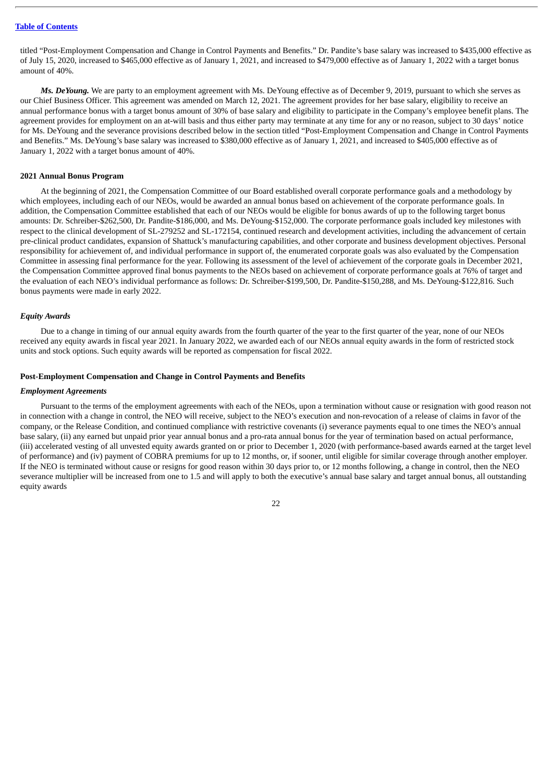titled "Post-Employment Compensation and Change in Control Payments and Benefits." Dr. Pandite's base salary was increased to \$435,000 effective as of July 15, 2020, increased to \$465,000 effective as of January 1, 2021, and increased to \$479,000 effective as of January 1, 2022 with a target bonus amount of 40%.

*Ms. DeYoung.* We are party to an employment agreement with Ms. DeYoung effective as of December 9, 2019, pursuant to which she serves as our Chief Business Officer. This agreement was amended on March 12, 2021. The agreement provides for her base salary, eligibility to receive an annual performance bonus with a target bonus amount of 30% of base salary and eligibility to participate in the Company's employee benefit plans. The agreement provides for employment on an at-will basis and thus either party may terminate at any time for any or no reason, subject to 30 days' notice for Ms. DeYoung and the severance provisions described below in the section titled "Post-Employment Compensation and Change in Control Payments and Benefits." Ms. DeYoung's base salary was increased to \$380,000 effective as of January 1, 2021, and increased to \$405,000 effective as of January 1, 2022 with a target bonus amount of 40%.

### **2021 Annual Bonus Program**

At the beginning of 2021, the Compensation Committee of our Board established overall corporate performance goals and a methodology by which employees, including each of our NEOs, would be awarded an annual bonus based on achievement of the corporate performance goals. In addition, the Compensation Committee established that each of our NEOs would be eligible for bonus awards of up to the following target bonus amounts: Dr. Schreiber-\$262,500, Dr. Pandite-\$186,000, and Ms. DeYoung-\$152,000. The corporate performance goals included key milestones with respect to the clinical development of SL-279252 and SL-172154, continued research and development activities, including the advancement of certain pre-clinical product candidates, expansion of Shattuck's manufacturing capabilities, and other corporate and business development objectives. Personal responsibility for achievement of, and individual performance in support of, the enumerated corporate goals was also evaluated by the Compensation Committee in assessing final performance for the year. Following its assessment of the level of achievement of the corporate goals in December 2021, the Compensation Committee approved final bonus payments to the NEOs based on achievement of corporate performance goals at 76% of target and the evaluation of each NEO's individual performance as follows: Dr. Schreiber-\$199,500, Dr. Pandite-\$150,288, and Ms. DeYoung-\$122,816. Such bonus payments were made in early 2022.

### *Equity Awards*

Due to a change in timing of our annual equity awards from the fourth quarter of the year to the first quarter of the year, none of our NEOs received any equity awards in fiscal year 2021. In January 2022, we awarded each of our NEOs annual equity awards in the form of restricted stock units and stock options. Such equity awards will be reported as compensation for fiscal 2022.

### **Post-Employment Compensation and Change in Control Payments and Benefits**

### *Employment Agreements*

Pursuant to the terms of the employment agreements with each of the NEOs, upon a termination without cause or resignation with good reason not in connection with a change in control, the NEO will receive, subject to the NEO's execution and non-revocation of a release of claims in favor of the company, or the Release Condition, and continued compliance with restrictive covenants (i) severance payments equal to one times the NEO's annual base salary, (ii) any earned but unpaid prior year annual bonus and a pro-rata annual bonus for the year of termination based on actual performance, (iii) accelerated vesting of all unvested equity awards granted on or prior to December 1, 2020 (with performance-based awards earned at the target level of performance) and (iv) payment of COBRA premiums for up to 12 months, or, if sooner, until eligible for similar coverage through another employer. If the NEO is terminated without cause or resigns for good reason within 30 days prior to, or 12 months following, a change in control, then the NEO severance multiplier will be increased from one to 1.5 and will apply to both the executive's annual base salary and target annual bonus, all outstanding equity awards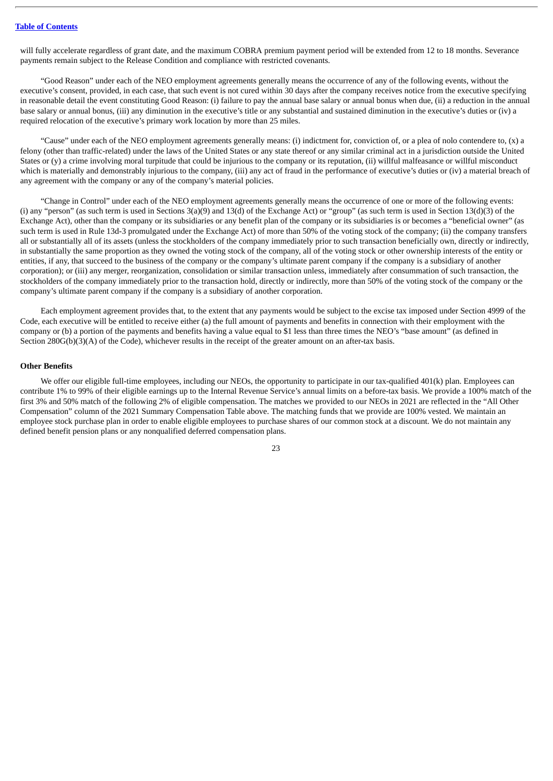will fully accelerate regardless of grant date, and the maximum COBRA premium payment period will be extended from 12 to 18 months. Severance payments remain subject to the Release Condition and compliance with restricted covenants.

"Good Reason" under each of the NEO employment agreements generally means the occurrence of any of the following events, without the executive's consent, provided, in each case, that such event is not cured within 30 days after the company receives notice from the executive specifying in reasonable detail the event constituting Good Reason: (i) failure to pay the annual base salary or annual bonus when due, (ii) a reduction in the annual base salary or annual bonus, (iii) any diminution in the executive's title or any substantial and sustained diminution in the executive's duties or (iv) a required relocation of the executive's primary work location by more than 25 miles.

"Cause" under each of the NEO employment agreements generally means: (i) indictment for, conviction of, or a plea of nolo contendere to, (x) a felony (other than traffic-related) under the laws of the United States or any state thereof or any similar criminal act in a jurisdiction outside the United States or (y) a crime involving moral turpitude that could be injurious to the company or its reputation, (ii) willful malfeasance or willful misconduct which is materially and demonstrably injurious to the company, (iii) any act of fraud in the performance of executive's duties or (iv) a material breach of any agreement with the company or any of the company's material policies.

"Change in Control" under each of the NEO employment agreements generally means the occurrence of one or more of the following events: (i) any "person" (as such term is used in Sections 3(a)(9) and 13(d) of the Exchange Act) or "group" (as such term is used in Section 13(d)(3) of the Exchange Act), other than the company or its subsidiaries or any benefit plan of the company or its subsidiaries is or becomes a "beneficial owner" (as such term is used in Rule 13d-3 promulgated under the Exchange Act) of more than 50% of the voting stock of the company; (ii) the company transfers all or substantially all of its assets (unless the stockholders of the company immediately prior to such transaction beneficially own, directly or indirectly, in substantially the same proportion as they owned the voting stock of the company, all of the voting stock or other ownership interests of the entity or entities, if any, that succeed to the business of the company or the company's ultimate parent company if the company is a subsidiary of another corporation); or (iii) any merger, reorganization, consolidation or similar transaction unless, immediately after consummation of such transaction, the stockholders of the company immediately prior to the transaction hold, directly or indirectly, more than 50% of the voting stock of the company or the company's ultimate parent company if the company is a subsidiary of another corporation.

Each employment agreement provides that, to the extent that any payments would be subject to the excise tax imposed under Section 4999 of the Code, each executive will be entitled to receive either (a) the full amount of payments and benefits in connection with their employment with the company or (b) a portion of the payments and benefits having a value equal to \$1 less than three times the NEO's "base amount" (as defined in Section 280G(b)(3)(A) of the Code), whichever results in the receipt of the greater amount on an after-tax basis.

### **Other Benefits**

We offer our eligible full-time employees, including our NEOs, the opportunity to participate in our tax-qualified 401(k) plan. Employees can contribute 1% to 99% of their eligible earnings up to the Internal Revenue Service's annual limits on a before-tax basis. We provide a 100% match of the first 3% and 50% match of the following 2% of eligible compensation. The matches we provided to our NEOs in 2021 are reflected in the "All Other Compensation" column of the 2021 Summary Compensation Table above. The matching funds that we provide are 100% vested. We maintain an employee stock purchase plan in order to enable eligible employees to purchase shares of our common stock at a discount. We do not maintain any defined benefit pension plans or any nonqualified deferred compensation plans.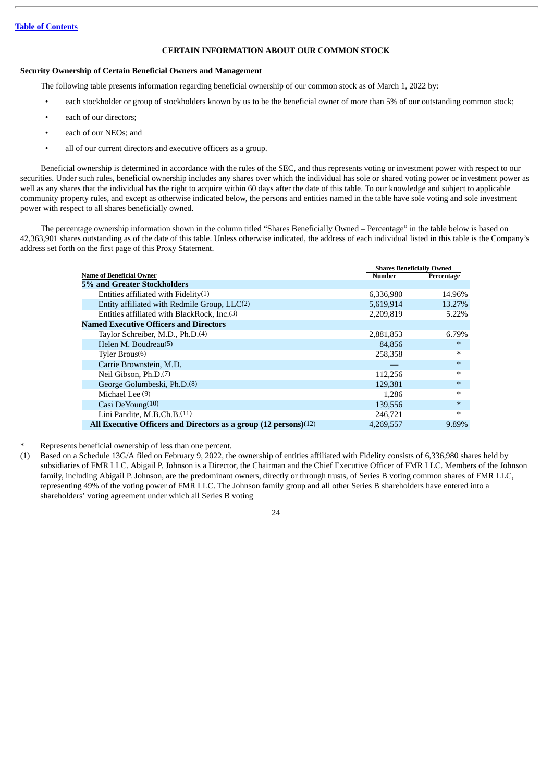# **CERTAIN INFORMATION ABOUT OUR COMMON STOCK**

# <span id="page-26-0"></span>**Security Ownership of Certain Beneficial Owners and Management**

The following table presents information regarding beneficial ownership of our common stock as of March 1, 2022 by:

- each stockholder or group of stockholders known by us to be the beneficial owner of more than 5% of our outstanding common stock;
- each of our directors;
- each of our NEOs; and
- all of our current directors and executive officers as a group.

Beneficial ownership is determined in accordance with the rules of the SEC, and thus represents voting or investment power with respect to our securities. Under such rules, beneficial ownership includes any shares over which the individual has sole or shared voting power or investment power as well as any shares that the individual has the right to acquire within 60 days after the date of this table. To our knowledge and subject to applicable community property rules, and except as otherwise indicated below, the persons and entities named in the table have sole voting and sole investment power with respect to all shares beneficially owned.

The percentage ownership information shown in the column titled "Shares Beneficially Owned – Percentage" in the table below is based on 42,363,901 shares outstanding as of the date of this table. Unless otherwise indicated, the address of each individual listed in this table is the Company's address set forth on the first page of this Proxy Statement.

|                                                                  | <b>Shares Beneficially Owned</b> |            |
|------------------------------------------------------------------|----------------------------------|------------|
| <b>Name of Beneficial Owner</b>                                  | Number                           | Percentage |
| 5% and Greater Stockholders                                      |                                  |            |
| Entities affiliated with $Fidelity(1)$                           | 6,336,980                        | 14.96%     |
| Entity affiliated with Redmile Group, LLC(2)                     | 5,619,914                        | 13.27%     |
| Entities affiliated with BlackRock, Inc.(3)                      | 2,209,819                        | 5.22%      |
| <b>Named Executive Officers and Directors</b>                    |                                  |            |
| Taylor Schreiber, M.D., Ph.D.(4)                                 | 2,881,853                        | 6.79%      |
| Helen M. Boudreau(5)                                             | 84,856                           | $\ast$     |
| Tyler $Brous(6)$                                                 | 258,358                          | ∗          |
| Carrie Brownstein, M.D.                                          |                                  | $\ast$     |
| Neil Gibson, Ph.D. <sup>(7)</sup>                                | 112,256                          | $\ast$     |
| George Golumbeski, Ph.D. <sup>(8)</sup>                          | 129.381                          | $\ast$     |
| Michael Lee (9)                                                  | 1,286                            | $\ast$     |
| Casi DeYoung $(10)$                                              | 139,556                          | $\ast$     |
| Lini Pandite, M.B.Ch.B. <sup>(11)</sup>                          | 246,721                          | $\ast$     |
| All Executive Officers and Directors as a group (12 persons)(12) | 4,269,557                        | 9.89%      |

- Represents beneficial ownership of less than one percent.
- (1) Based on a Schedule 13G/A filed on February 9, 2022, the ownership of entities affiliated with Fidelity consists of 6,336,980 shares held by subsidiaries of FMR LLC. Abigail P. Johnson is a Director, the Chairman and the Chief Executive Officer of FMR LLC. Members of the Johnson family, including Abigail P. Johnson, are the predominant owners, directly or through trusts, of Series B voting common shares of FMR LLC, representing 49% of the voting power of FMR LLC. The Johnson family group and all other Series B shareholders have entered into a shareholders' voting agreement under which all Series B voting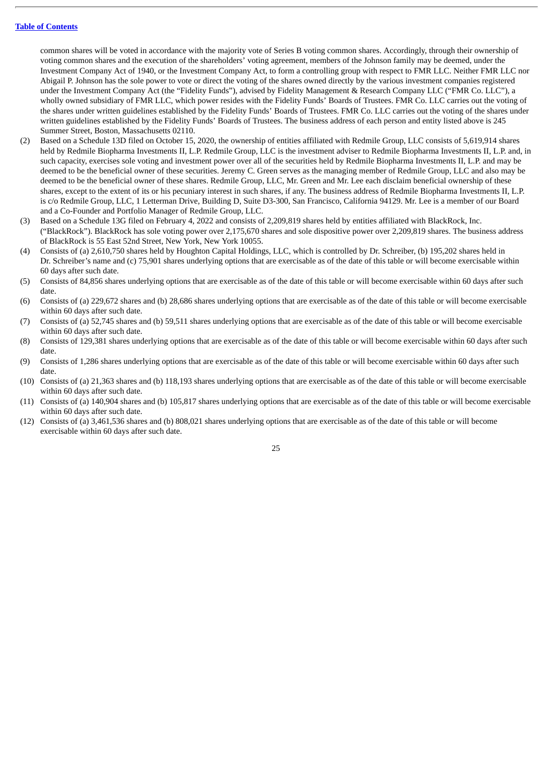common shares will be voted in accordance with the majority vote of Series B voting common shares. Accordingly, through their ownership of voting common shares and the execution of the shareholders' voting agreement, members of the Johnson family may be deemed, under the Investment Company Act of 1940, or the Investment Company Act, to form a controlling group with respect to FMR LLC. Neither FMR LLC nor Abigail P. Johnson has the sole power to vote or direct the voting of the shares owned directly by the various investment companies registered under the Investment Company Act (the "Fidelity Funds"), advised by Fidelity Management & Research Company LLC ("FMR Co. LLC"), a wholly owned subsidiary of FMR LLC, which power resides with the Fidelity Funds' Boards of Trustees. FMR Co. LLC carries out the voting of the shares under written guidelines established by the Fidelity Funds' Boards of Trustees. FMR Co. LLC carries out the voting of the shares under written guidelines established by the Fidelity Funds' Boards of Trustees. The business address of each person and entity listed above is 245 Summer Street, Boston, Massachusetts 02110.

- (2) Based on a Schedule 13D filed on October 15, 2020, the ownership of entities affiliated with Redmile Group, LLC consists of 5,619,914 shares held by Redmile Biopharma Investments II, L.P. Redmile Group, LLC is the investment adviser to Redmile Biopharma Investments II, L.P. and, in such capacity, exercises sole voting and investment power over all of the securities held by Redmile Biopharma Investments II, L.P. and may be deemed to be the beneficial owner of these securities. Jeremy C. Green serves as the managing member of Redmile Group, LLC and also may be deemed to be the beneficial owner of these shares. Redmile Group, LLC, Mr. Green and Mr. Lee each disclaim beneficial ownership of these shares, except to the extent of its or his pecuniary interest in such shares, if any. The business address of Redmile Biopharma Investments II, L.P. is c/o Redmile Group, LLC, 1 Letterman Drive, Building D, Suite D3-300, San Francisco, California 94129. Mr. Lee is a member of our Board and a Co-Founder and Portfolio Manager of Redmile Group, LLC.
- (3) Based on a Schedule 13G filed on February 4, 2022 and consists of 2,209,819 shares held by entities affiliated with BlackRock, Inc. ("BlackRock"). BlackRock has sole voting power over 2,175,670 shares and sole dispositive power over 2,209,819 shares. The business address of BlackRock is 55 East 52nd Street, New York, New York 10055.
- (4) Consists of (a) 2,610,750 shares held by Houghton Capital Holdings, LLC, which is controlled by Dr. Schreiber, (b) 195,202 shares held in Dr. Schreiber's name and (c) 75,901 shares underlying options that are exercisable as of the date of this table or will become exercisable within 60 days after such date.
- (5) Consists of 84,856 shares underlying options that are exercisable as of the date of this table or will become exercisable within 60 days after such date.
- (6) Consists of (a) 229,672 shares and (b) 28,686 shares underlying options that are exercisable as of the date of this table or will become exercisable within 60 days after such date.
- (7) Consists of (a) 52,745 shares and (b) 59,511 shares underlying options that are exercisable as of the date of this table or will become exercisable within 60 days after such date.
- (8) Consists of 129,381 shares underlying options that are exercisable as of the date of this table or will become exercisable within 60 days after such date.
- (9) Consists of 1,286 shares underlying options that are exercisable as of the date of this table or will become exercisable within 60 days after such date.
- (10) Consists of (a) 21,363 shares and (b) 118,193 shares underlying options that are exercisable as of the date of this table or will become exercisable within 60 days after such date.
- (11) Consists of (a) 140,904 shares and (b) 105,817 shares underlying options that are exercisable as of the date of this table or will become exercisable within 60 days after such date.
- (12) Consists of (a) 3,461,536 shares and (b) 808,021 shares underlying options that are exercisable as of the date of this table or will become exercisable within 60 days after such date.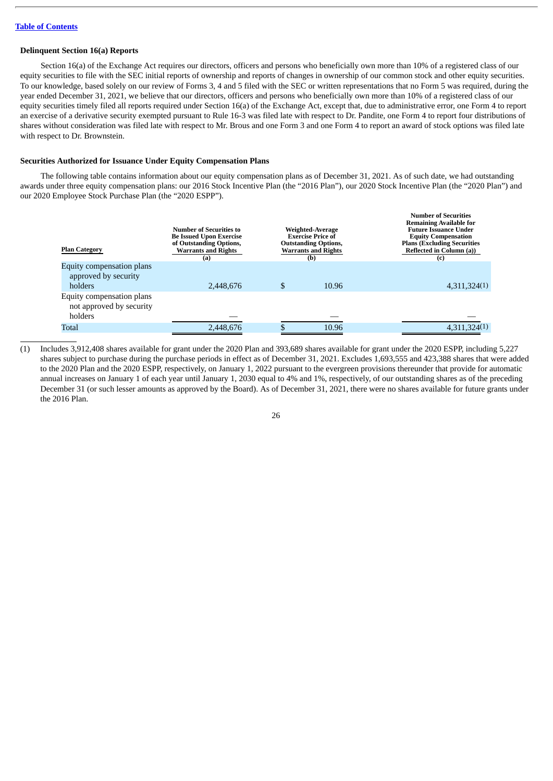### **Delinquent Section 16(a) Reports**

Section 16(a) of the Exchange Act requires our directors, officers and persons who beneficially own more than 10% of a registered class of our equity securities to file with the SEC initial reports of ownership and reports of changes in ownership of our common stock and other equity securities. To our knowledge, based solely on our review of Forms 3, 4 and 5 filed with the SEC or written representations that no Form 5 was required, during the year ended December 31, 2021, we believe that our directors, officers and persons who beneficially own more than 10% of a registered class of our equity securities timely filed all reports required under Section 16(a) of the Exchange Act, except that, due to administrative error, one Form 4 to report an exercise of a derivative security exempted pursuant to Rule 16-3 was filed late with respect to Dr. Pandite, one Form 4 to report four distributions of shares without consideration was filed late with respect to Mr. Brous and one Form 3 and one Form 4 to report an award of stock options was filed late with respect to Dr. Brownstein.

### **Securities Authorized for Issuance Under Equity Compensation Plans**

The following table contains information about our equity compensation plans as of December 31, 2021. As of such date, we had outstanding awards under three equity compensation plans: our 2016 Stock Incentive Plan (the "2016 Plan"), our 2020 Stock Incentive Plan (the "2020 Plan") and our 2020 Employee Stock Purchase Plan (the "2020 ESPP").

| <b>Plan Category</b>                                  | Number of Securities to<br><b>Be Issued Upon Exercise</b><br>of Outstanding Options,<br><b>Warrants and Rights</b><br>(a) | Weighted-Average<br><b>Exercise Price of</b><br><b>Outstanding Options,</b><br><b>Warrants and Rights</b><br>(b) |       | <b>Number of Securities</b><br><b>Remaining Available for</b><br><b>Future Issuance Under</b><br><b>Equity Compensation</b><br><b>Plans (Excluding Securities)</b><br>Reflected in Column (a))<br>(c) |  |
|-------------------------------------------------------|---------------------------------------------------------------------------------------------------------------------------|------------------------------------------------------------------------------------------------------------------|-------|-------------------------------------------------------------------------------------------------------------------------------------------------------------------------------------------------------|--|
| Equity compensation plans<br>approved by security     |                                                                                                                           |                                                                                                                  |       |                                                                                                                                                                                                       |  |
| holders                                               | 2.448.676                                                                                                                 |                                                                                                                  | 10.96 | 4,311,324(1)                                                                                                                                                                                          |  |
| Equity compensation plans<br>not approved by security |                                                                                                                           |                                                                                                                  |       |                                                                                                                                                                                                       |  |
| holders                                               |                                                                                                                           |                                                                                                                  |       |                                                                                                                                                                                                       |  |
| <b>Total</b>                                          | 2,448,676                                                                                                                 |                                                                                                                  | 10.96 | 4,311,324(1)                                                                                                                                                                                          |  |

(1) Includes 3,912,408 shares available for grant under the 2020 Plan and 393,689 shares available for grant under the 2020 ESPP, including 5,227 shares subject to purchase during the purchase periods in effect as of December 31, 2021. Excludes 1,693,555 and 423,388 shares that were added to the 2020 Plan and the 2020 ESPP, respectively, on January 1, 2022 pursuant to the evergreen provisions thereunder that provide for automatic annual increases on January 1 of each year until January 1, 2030 equal to 4% and 1%, respectively, of our outstanding shares as of the preceding December 31 (or such lesser amounts as approved by the Board). As of December 31, 2021, there were no shares available for future grants under the 2016 Plan.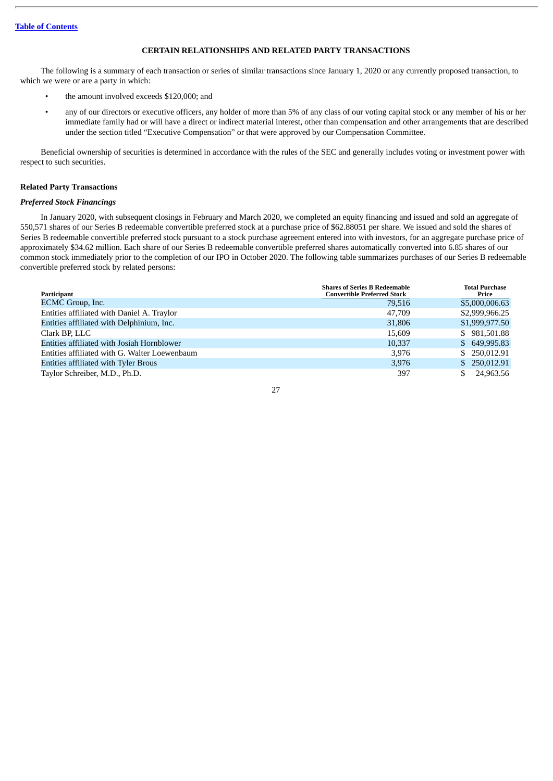# **CERTAIN RELATIONSHIPS AND RELATED PARTY TRANSACTIONS**

<span id="page-29-0"></span>The following is a summary of each transaction or series of similar transactions since January 1, 2020 or any currently proposed transaction, to which we were or are a party in which:

- the amount involved exceeds \$120,000; and
- any of our directors or executive officers, any holder of more than 5% of any class of our voting capital stock or any member of his or her immediate family had or will have a direct or indirect material interest, other than compensation and other arrangements that are described under the section titled "Executive Compensation" or that were approved by our Compensation Committee.

Beneficial ownership of securities is determined in accordance with the rules of the SEC and generally includes voting or investment power with respect to such securities.

### **Related Party Transactions**

### *Preferred Stock Financings*

In January 2020, with subsequent closings in February and March 2020, we completed an equity financing and issued and sold an aggregate of 550,571 shares of our Series B redeemable convertible preferred stock at a purchase price of \$62.88051 per share. We issued and sold the shares of Series B redeemable convertible preferred stock pursuant to a stock purchase agreement entered into with investors, for an aggregate purchase price of approximately \$34.62 million. Each share of our Series B redeemable convertible preferred shares automatically converted into 6.85 shares of our common stock immediately prior to the completion of our IPO in October 2020. The following table summarizes purchases of our Series B redeemable convertible preferred stock by related persons:

| Participant                                   | <b>Shares of Series B Redeemable</b><br><b>Convertible Preferred Stock</b> | <b>Total Purchase</b><br>Price |
|-----------------------------------------------|----------------------------------------------------------------------------|--------------------------------|
| ECMC Group, Inc.                              | 79.516                                                                     | \$5,000,006.63                 |
| Entities affiliated with Daniel A. Traylor    | 47,709                                                                     | \$2,999,966.25                 |
| Entities affiliated with Delphinium, Inc.     | 31,806                                                                     | \$1,999,977.50                 |
| Clark BP. LLC                                 | 15.609                                                                     | \$981,501.88                   |
| Entities affiliated with Josiah Hornblower    | 10.337                                                                     | \$649,995.83                   |
| Entities affiliated with G. Walter Loewenbaum | 3,976                                                                      | \$ 250,012.91                  |
| Entities affiliated with Tyler Brous          | 3,976                                                                      | \$ 250,012.91                  |
| Taylor Schreiber, M.D., Ph.D.                 | 397                                                                        | 24,963.56<br>\$.               |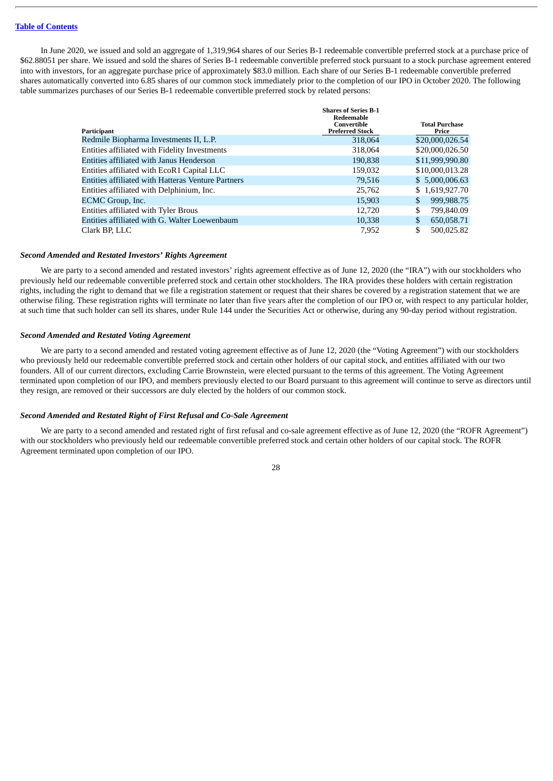In June 2020, we issued and sold an aggregate of 1,319,964 shares of our Series B-1 redeemable convertible preferred stock at a purchase price of \$62.88051 per share. We issued and sold the shares of Series B-1 redeemable convertible preferred stock pursuant to a stock purchase agreement entered into with investors, for an aggregate purchase price of approximately \$83.0 million. Each share of our Series B-1 redeemable convertible preferred shares automatically converted into 6.85 shares of our common stock immediately prior to the completion of our IPO in October 2020. The following table summarizes purchases of our Series B-1 redeemable convertible preferred stock by related persons:

|                                                    | <b>Shares of Series B-1</b><br>Redeemable |                                |  |
|----------------------------------------------------|-------------------------------------------|--------------------------------|--|
| Participant                                        | Convertible<br><b>Preferred Stock</b>     | <b>Total Purchase</b><br>Price |  |
| Redmile Biopharma Investments II, L.P.             | 318,064                                   | \$20,000,026.54                |  |
| Entities affiliated with Fidelity Investments      | 318,064                                   | \$20,000,026.50                |  |
| Entities affiliated with Janus Henderson           | 190,838                                   | \$11,999,990.80                |  |
| Entities affiliated with EcoR1 Capital LLC         | 159,032                                   | \$10,000,013.28                |  |
| Entities affiliated with Hatteras Venture Partners | 79,516                                    | \$5,000,006.63                 |  |
| Entities affiliated with Delphinium, Inc.          | 25,762                                    | \$1,619,927.70                 |  |
| ECMC Group, Inc.                                   | 15,903                                    | 999,988.75                     |  |
| Entities affiliated with Tyler Brous               | 12,720                                    | \$<br>799,840.09               |  |
| Entities affiliated with G. Walter Loewenbaum      | 10,338                                    | 650,058.71<br>\$               |  |
| Clark BP, LLC                                      | 7,952                                     | 500.025.82<br>\$               |  |

### *Second Amended and Restated Investors' Rights Agreement*

We are party to a second amended and restated investors' rights agreement effective as of June 12, 2020 (the "IRA") with our stockholders who previously held our redeemable convertible preferred stock and certain other stockholders. The IRA provides these holders with certain registration rights, including the right to demand that we file a registration statement or request that their shares be covered by a registration statement that we are otherwise filing. These registration rights will terminate no later than five years after the completion of our IPO or, with respect to any particular holder, at such time that such holder can sell its shares, under Rule 144 under the Securities Act or otherwise, during any 90-day period without registration.

### *Second Amended and Restated Voting Agreement*

We are party to a second amended and restated voting agreement effective as of June 12, 2020 (the "Voting Agreement") with our stockholders who previously held our redeemable convertible preferred stock and certain other holders of our capital stock, and entities affiliated with our two founders. All of our current directors, excluding Carrie Brownstein, were elected pursuant to the terms of this agreement. The Voting Agreement terminated upon completion of our IPO, and members previously elected to our Board pursuant to this agreement will continue to serve as directors until they resign, are removed or their successors are duly elected by the holders of our common stock.

### *Second Amended and Restated Right of First Refusal and Co-Sale Agreement*

We are party to a second amended and restated right of first refusal and co-sale agreement effective as of June 12, 2020 (the "ROFR Agreement") with our stockholders who previously held our redeemable convertible preferred stock and certain other holders of our capital stock. The ROFR Agreement terminated upon completion of our IPO.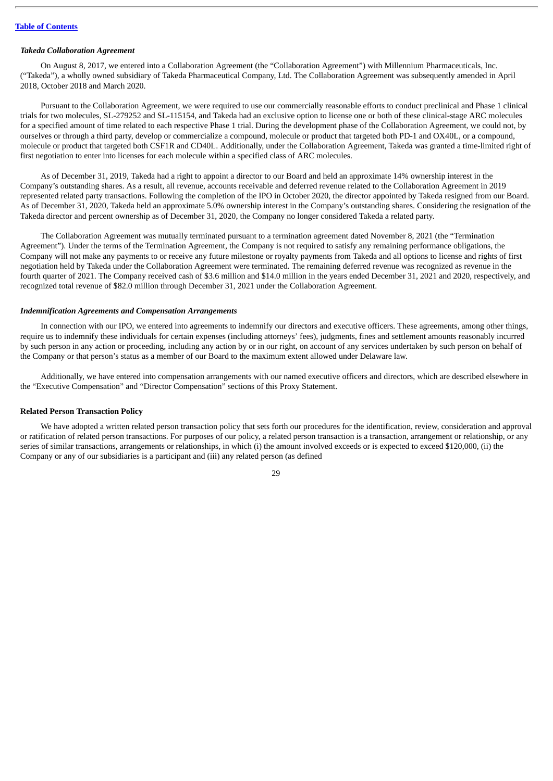### *Takeda Collaboration Agreement*

On August 8, 2017, we entered into a Collaboration Agreement (the "Collaboration Agreement") with Millennium Pharmaceuticals, Inc. ("Takeda"), a wholly owned subsidiary of Takeda Pharmaceutical Company, Ltd. The Collaboration Agreement was subsequently amended in April 2018, October 2018 and March 2020.

Pursuant to the Collaboration Agreement, we were required to use our commercially reasonable efforts to conduct preclinical and Phase 1 clinical trials for two molecules, SL-279252 and SL-115154, and Takeda had an exclusive option to license one or both of these clinical-stage ARC molecules for a specified amount of time related to each respective Phase 1 trial. During the development phase of the Collaboration Agreement, we could not, by ourselves or through a third party, develop or commercialize a compound, molecule or product that targeted both PD-1 and OX40L, or a compound, molecule or product that targeted both CSF1R and CD40L. Additionally, under the Collaboration Agreement, Takeda was granted a time-limited right of first negotiation to enter into licenses for each molecule within a specified class of ARC molecules.

As of December 31, 2019, Takeda had a right to appoint a director to our Board and held an approximate 14% ownership interest in the Company's outstanding shares. As a result, all revenue, accounts receivable and deferred revenue related to the Collaboration Agreement in 2019 represented related party transactions. Following the completion of the IPO in October 2020, the director appointed by Takeda resigned from our Board. As of December 31, 2020, Takeda held an approximate 5.0% ownership interest in the Company's outstanding shares. Considering the resignation of the Takeda director and percent ownership as of December 31, 2020, the Company no longer considered Takeda a related party.

The Collaboration Agreement was mutually terminated pursuant to a termination agreement dated November 8, 2021 (the "Termination Agreement"). Under the terms of the Termination Agreement, the Company is not required to satisfy any remaining performance obligations, the Company will not make any payments to or receive any future milestone or royalty payments from Takeda and all options to license and rights of first negotiation held by Takeda under the Collaboration Agreement were terminated. The remaining deferred revenue was recognized as revenue in the fourth quarter of 2021. The Company received cash of \$3.6 million and \$14.0 million in the years ended December 31, 2021 and 2020, respectively, and recognized total revenue of \$82.0 million through December 31, 2021 under the Collaboration Agreement.

### *Indemnification Agreements and Compensation Arrangements*

In connection with our IPO, we entered into agreements to indemnify our directors and executive officers. These agreements, among other things, require us to indemnify these individuals for certain expenses (including attorneys' fees), judgments, fines and settlement amounts reasonably incurred by such person in any action or proceeding, including any action by or in our right, on account of any services undertaken by such person on behalf of the Company or that person's status as a member of our Board to the maximum extent allowed under Delaware law.

Additionally, we have entered into compensation arrangements with our named executive officers and directors, which are described elsewhere in the "Executive Compensation" and "Director Compensation" sections of this Proxy Statement.

### **Related Person Transaction Policy**

We have adopted a written related person transaction policy that sets forth our procedures for the identification, review, consideration and approval or ratification of related person transactions. For purposes of our policy, a related person transaction is a transaction, arrangement or relationship, or any series of similar transactions, arrangements or relationships, in which (i) the amount involved exceeds or is expected to exceed \$120,000, (ii) the Company or any of our subsidiaries is a participant and (iii) any related person (as defined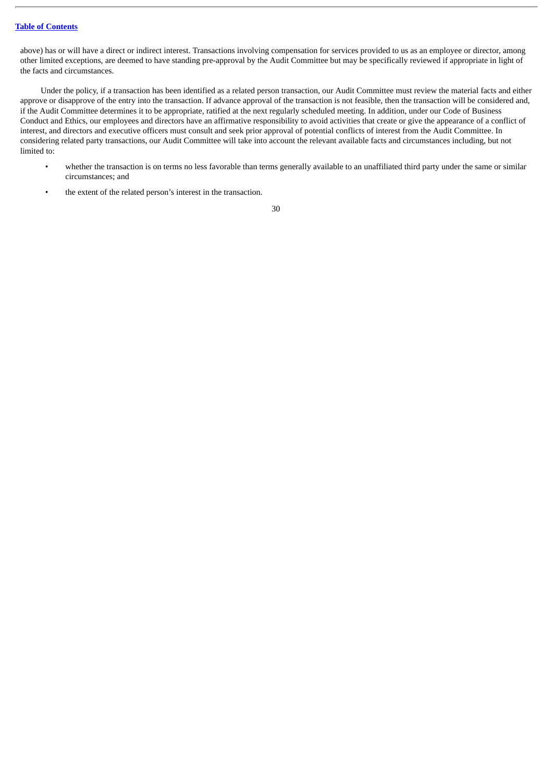above) has or will have a direct or indirect interest. Transactions involving compensation for services provided to us as an employee or director, among other limited exceptions, are deemed to have standing pre-approval by the Audit Committee but may be specifically reviewed if appropriate in light of the facts and circumstances.

Under the policy, if a transaction has been identified as a related person transaction, our Audit Committee must review the material facts and either approve or disapprove of the entry into the transaction. If advance approval of the transaction is not feasible, then the transaction will be considered and, if the Audit Committee determines it to be appropriate, ratified at the next regularly scheduled meeting. In addition, under our Code of Business Conduct and Ethics, our employees and directors have an affirmative responsibility to avoid activities that create or give the appearance of a conflict of interest, and directors and executive officers must consult and seek prior approval of potential conflicts of interest from the Audit Committee. In considering related party transactions, our Audit Committee will take into account the relevant available facts and circumstances including, but not limited to:

- whether the transaction is on terms no less favorable than terms generally available to an unaffiliated third party under the same or similar circumstances; and
- the extent of the related person's interest in the transaction.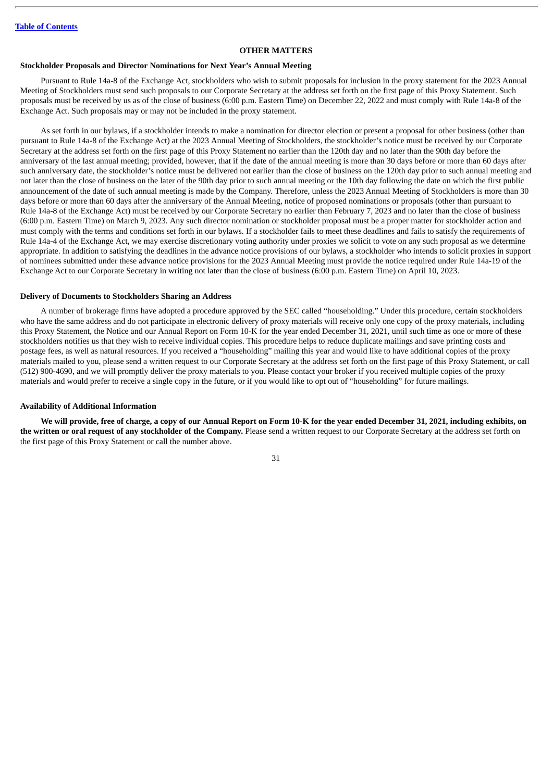### **OTHER MATTERS**

### <span id="page-33-0"></span>**Stockholder Proposals and Director Nominations for Next Year's Annual Meeting**

Pursuant to Rule 14a-8 of the Exchange Act, stockholders who wish to submit proposals for inclusion in the proxy statement for the 2023 Annual Meeting of Stockholders must send such proposals to our Corporate Secretary at the address set forth on the first page of this Proxy Statement. Such proposals must be received by us as of the close of business (6:00 p.m. Eastern Time) on December 22, 2022 and must comply with Rule 14a-8 of the Exchange Act. Such proposals may or may not be included in the proxy statement.

As set forth in our bylaws, if a stockholder intends to make a nomination for director election or present a proposal for other business (other than pursuant to Rule 14a-8 of the Exchange Act) at the 2023 Annual Meeting of Stockholders, the stockholder's notice must be received by our Corporate Secretary at the address set forth on the first page of this Proxy Statement no earlier than the 120th day and no later than the 90th day before the anniversary of the last annual meeting; provided, however, that if the date of the annual meeting is more than 30 days before or more than 60 days after such anniversary date, the stockholder's notice must be delivered not earlier than the close of business on the 120th day prior to such annual meeting and not later than the close of business on the later of the 90th day prior to such annual meeting or the 10th day following the date on which the first public announcement of the date of such annual meeting is made by the Company. Therefore, unless the 2023 Annual Meeting of Stockholders is more than 30 days before or more than 60 days after the anniversary of the Annual Meeting, notice of proposed nominations or proposals (other than pursuant to Rule 14a-8 of the Exchange Act) must be received by our Corporate Secretary no earlier than February 7, 2023 and no later than the close of business (6:00 p.m. Eastern Time) on March 9, 2023. Any such director nomination or stockholder proposal must be a proper matter for stockholder action and must comply with the terms and conditions set forth in our bylaws. If a stockholder fails to meet these deadlines and fails to satisfy the requirements of Rule 14a-4 of the Exchange Act, we may exercise discretionary voting authority under proxies we solicit to vote on any such proposal as we determine appropriate. In addition to satisfying the deadlines in the advance notice provisions of our bylaws, a stockholder who intends to solicit proxies in support of nominees submitted under these advance notice provisions for the 2023 Annual Meeting must provide the notice required under Rule 14a-19 of the Exchange Act to our Corporate Secretary in writing not later than the close of business (6:00 p.m. Eastern Time) on April 10, 2023.

### **Delivery of Documents to Stockholders Sharing an Address**

A number of brokerage firms have adopted a procedure approved by the SEC called "householding." Under this procedure, certain stockholders who have the same address and do not participate in electronic delivery of proxy materials will receive only one copy of the proxy materials, including this Proxy Statement, the Notice and our Annual Report on Form 10-K for the year ended December 31, 2021, until such time as one or more of these stockholders notifies us that they wish to receive individual copies. This procedure helps to reduce duplicate mailings and save printing costs and postage fees, as well as natural resources. If you received a "householding" mailing this year and would like to have additional copies of the proxy materials mailed to you, please send a written request to our Corporate Secretary at the address set forth on the first page of this Proxy Statement, or call (512) 900-4690, and we will promptly deliver the proxy materials to you. Please contact your broker if you received multiple copies of the proxy materials and would prefer to receive a single copy in the future, or if you would like to opt out of "householding" for future mailings.

### **Availability of Additional Information**

We will provide, free of charge, a copy of our Annual Report on Form 10-K for the year ended December 31, 2021, including exhibits, on **the written or oral request of any stockholder of the Company.** Please send a written request to our Corporate Secretary at the address set forth on the first page of this Proxy Statement or call the number above.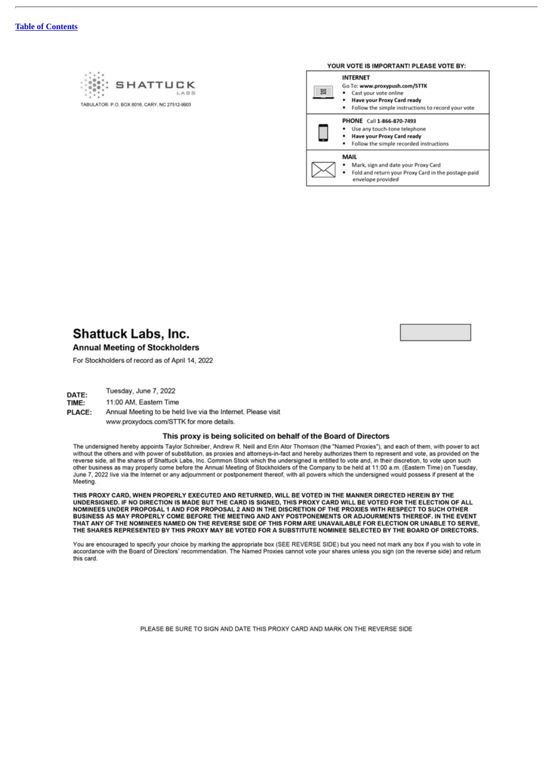

| YOUR VOTE IS IMPORTANT! PLEASE VOTE BY: |                                                                                                                                                               |  |  |  |
|-----------------------------------------|---------------------------------------------------------------------------------------------------------------------------------------------------------------|--|--|--|
| 题                                       | <b>INTERNET</b><br>Go To: www.proxypush.com/STTK<br>Cast your vote online<br>Have your Proxy Card ready<br>Follow the simple instructions to record your vote |  |  |  |
|                                         | PHONE Call 1-866-870-7493<br>Use any touch-tone telephone<br>Have your Proxy Card ready<br>Follow the simple recorded instructions                            |  |  |  |
|                                         | MAIL<br>Mark, sign and date your Proxy Card<br>Fold and return your Proxy Card in the postage-paid<br>envelope provided                                       |  |  |  |



**Annual Meeting of Stockholders** 

For Stockholders of record as of April 14, 2022

Tuesday, June 7, 2022 DATE: TIME: 11:00 AM, Eastern Time

PLACE: Annual Meeting to be held live via the Internet. Please visit www.proxydocs.com/STTK for more details.

### This proxy is being solicited on behalf of the Board of Directors

The undersigned hereby appoints Taylor Schreiber, Andrew R. Neill and Erin Ator Thomson (the "Named Proxies"), and each of them, with power to act without the others and with power of substitution, as proxies and attorneys-in-fact and hereby authorizes them to represent and vote, as provided on the reverse side, all the shares of Shattuck Labs, Inc. Common Stock whic other business as may properly come before the Annual Meeting of Stockholders of the Company to be held at 11:00 a.m. (Eastern Time) on Tuesday, June 7, 2022 live via the Internet or any adjournment or postponement thereof, with all powers which the undersigned would possess if present at the Meeting.

THIS PROXY CARD, WHEN PROPERLY EXECUTED AND RETURNED, WILL BE VOTED IN THE MANNER DIRECTED HEREIN BY THE UNDERSIGNED. IF NO DIRECTION IS MADE BUT THE CARD IS SIGNED, THIS PROXY CARD WILL BE VOTED FOR THE ELECTION OF ALL NOMINEES UNDER PROPOSAL 1 AND FOR PROPOSAL 2 AND IN THE DISCRETION OF THE PROXIES WITH RESPECT TO SUCH OTHER<br>BUSINESS AS MAY PROPERLY COME BEFORE THE MEETING AND ANY POSTPONEMENTS OR ADJOURMENTS THEREOF. IN THE EVENT THAT ANY OF THE NOMINEES NAMED ON THE REVERSE SIDE OF THIS FORM ARE UNAVAILABLE FOR ELECTION OR UNABLE TO SERVE, THE SHARES REPRESENTED BY THIS PROXY MAY BE VOTED FOR A SUBSTITUTE NOMINEE SELECTED BY THE BOARD OF DIRECTORS.

You are encouraged to specify your choice by marking the appropriate box (SEE REVERSE SIDE) but you need not mark any box if you wish to vote in<br>accordance with the Board of Directors' recommendation. The Named Proxies can this card.

PLEASE BE SURE TO SIGN AND DATE THIS PROXY CARD AND MARK ON THE REVERSE SIDE